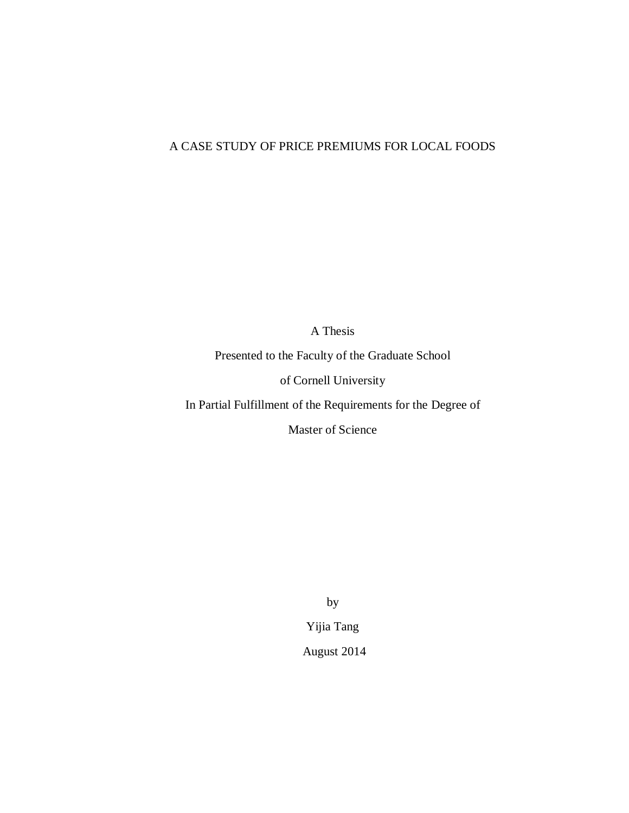## A CASE STUDY OF PRICE PREMIUMS FOR LOCAL FOODS

A Thesis

Presented to the Faculty of the Graduate School

of Cornell University

In Partial Fulfillment of the Requirements for the Degree of

Master of Science

by

Yijia Tang

August 2014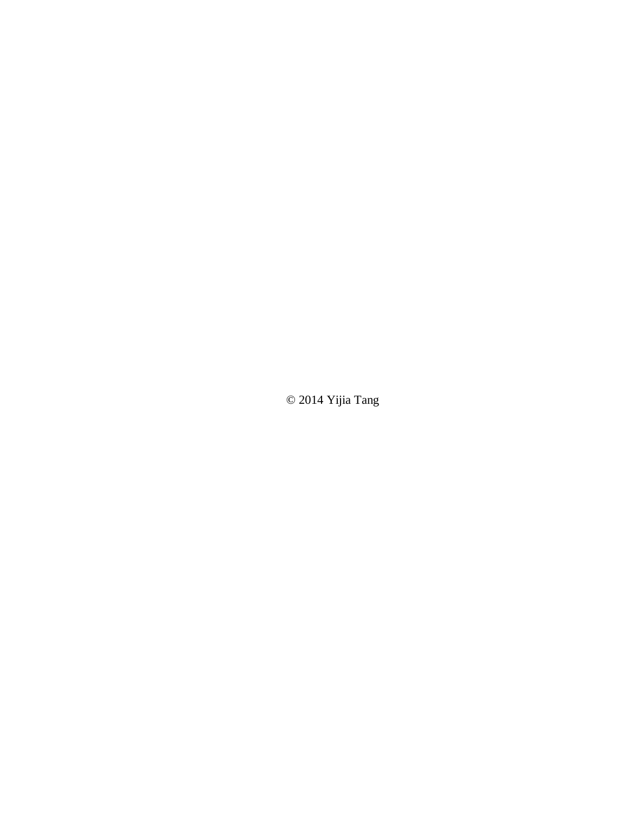© 2014 Yijia Tang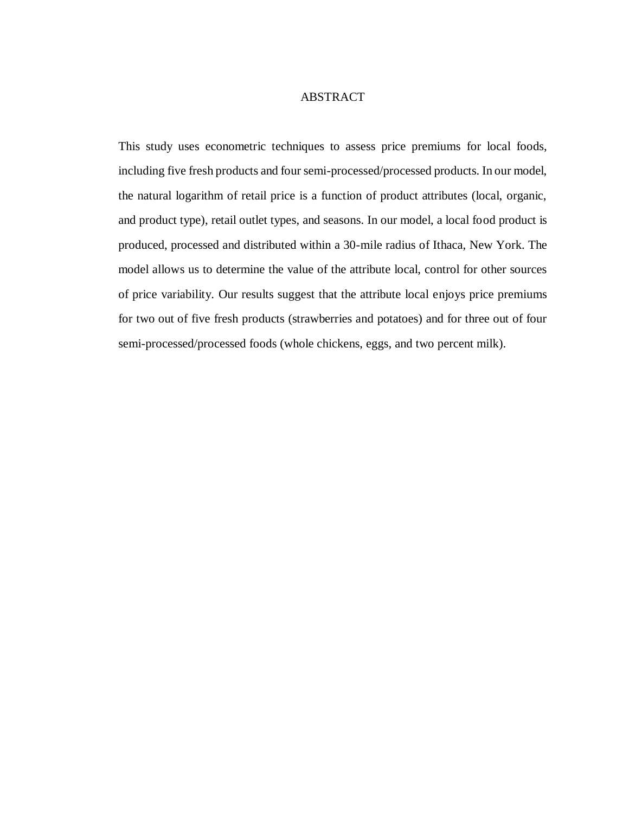#### ABSTRACT

This study uses econometric techniques to assess price premiums for local foods, including five fresh products and four semi-processed/processed products. In our model, the natural logarithm of retail price is a function of product attributes (local, organic, and product type), retail outlet types, and seasons. In our model, a local food product is produced, processed and distributed within a 30-mile radius of Ithaca, New York. The model allows us to determine the value of the attribute local, control for other sources of price variability. Our results suggest that the attribute local enjoys price premiums for two out of five fresh products (strawberries and potatoes) and for three out of four semi-processed/processed foods (whole chickens, eggs, and two percent milk).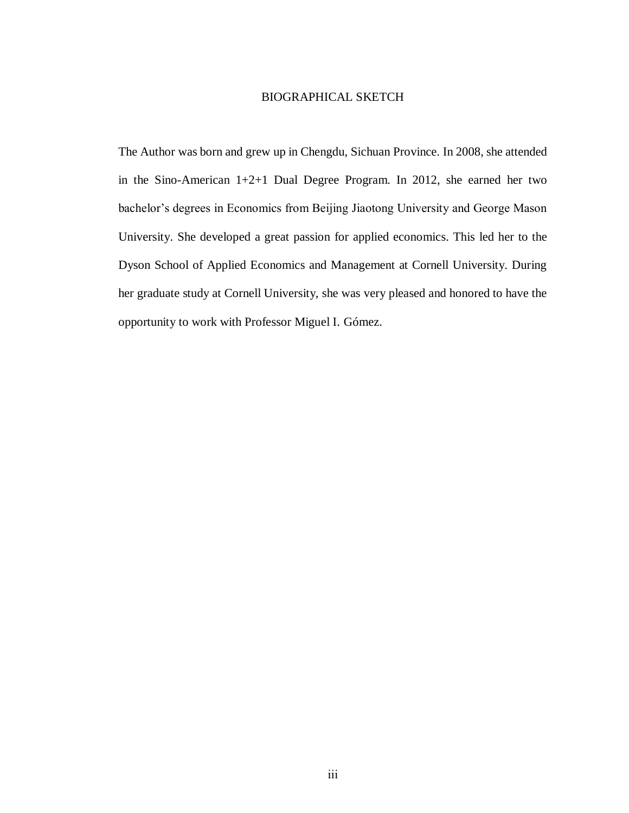#### BIOGRAPHICAL SKETCH

<span id="page-3-0"></span>The Author was born and grew up in Chengdu, Sichuan Province. In 2008, she attended in the Sino-American 1+2+1 Dual Degree Program. In 2012, she earned her two bachelor's degrees in Economics from Beijing Jiaotong University and George Mason University. She developed a great passion for applied economics. This led her to the Dyson School of Applied Economics and Management at Cornell University. During her graduate study at Cornell University, she was very pleased and honored to have the opportunity to work with Professor Miguel I. Gómez.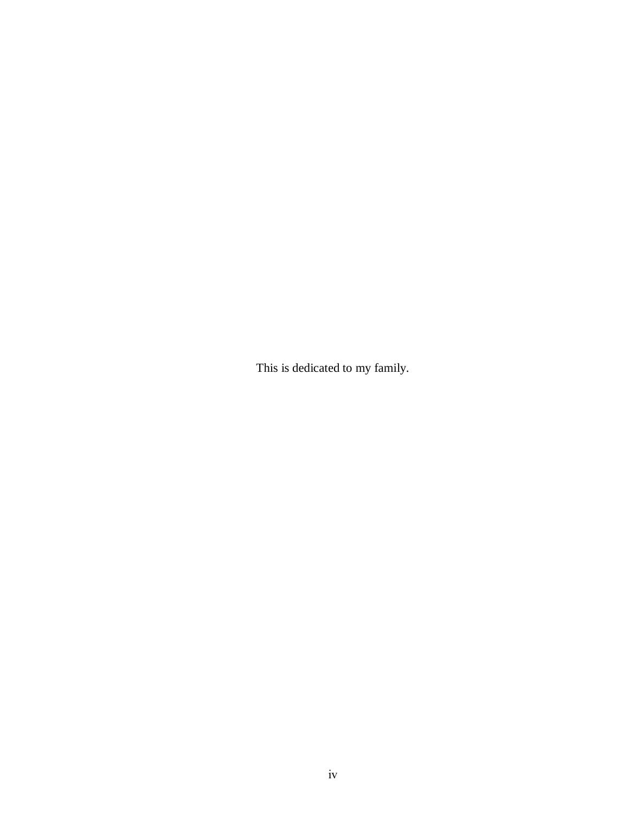This is dedicated to my family.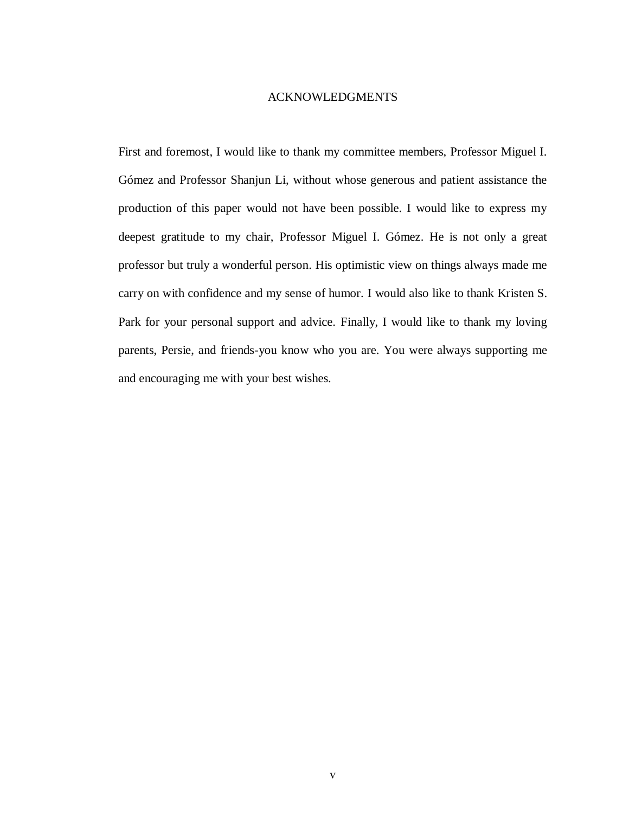#### ACKNOWLEDGMENTS

<span id="page-5-0"></span>First and foremost, I would like to thank my committee members, Professor Miguel I. Gómez and Professor Shanjun Li, without whose generous and patient assistance the production of this paper would not have been possible. I would like to express my deepest gratitude to my chair, Professor Miguel I. Gómez. He is not only a great professor but truly a wonderful person. His optimistic view on things always made me carry on with confidence and my sense of humor. I would also like to thank Kristen S. Park for your personal support and advice. Finally, I would like to thank my loving parents, Persie, and friends-you know who you are. You were always supporting me and encouraging me with your best wishes.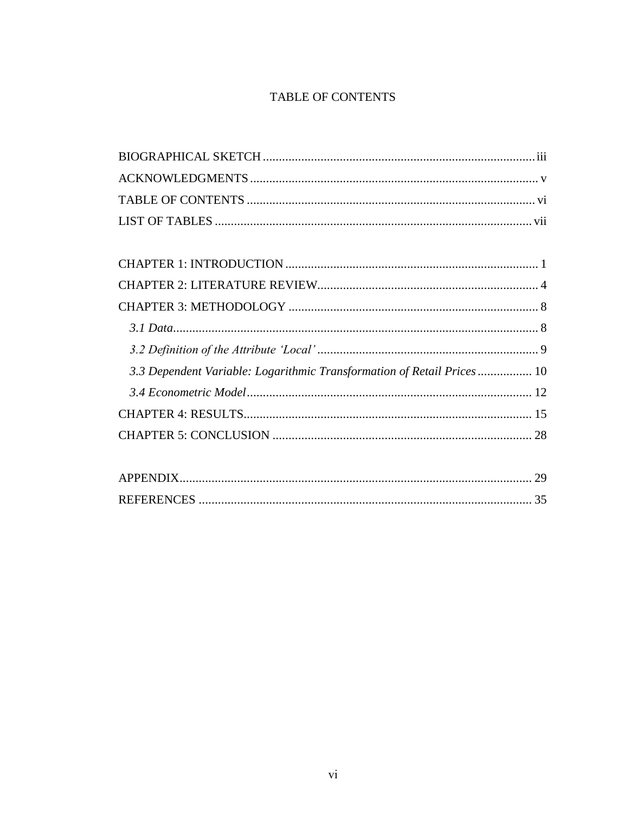## TABLE OF CONTENTS

<span id="page-6-0"></span>

| 3.3 Dependent Variable: Logarithmic Transformation of Retail Prices 10 |  |
|------------------------------------------------------------------------|--|
|                                                                        |  |
|                                                                        |  |
|                                                                        |  |
|                                                                        |  |
|                                                                        |  |

| APPENDIX          |  |
|-------------------|--|
| <b>REFERENCES</b> |  |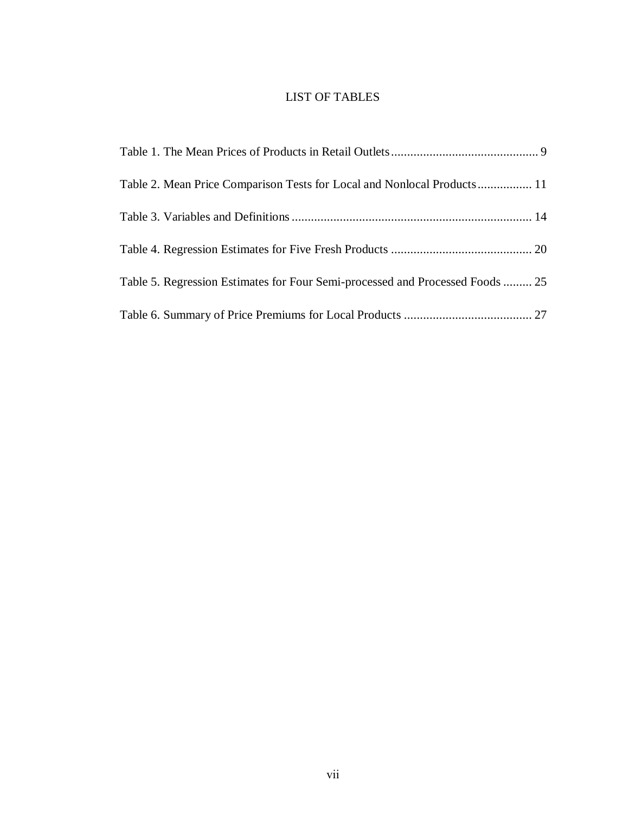### LIST OF TABLES

<span id="page-7-0"></span>

| Table 2. Mean Price Comparison Tests for Local and Nonlocal Products 11       |  |
|-------------------------------------------------------------------------------|--|
|                                                                               |  |
|                                                                               |  |
| Table 5. Regression Estimates for Four Semi-processed and Processed Foods  25 |  |
|                                                                               |  |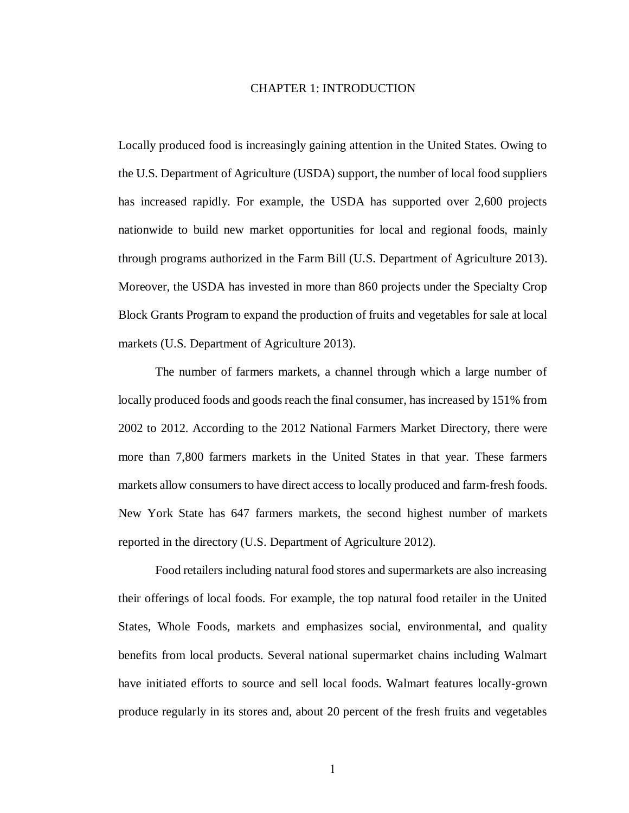#### <span id="page-8-0"></span>CHAPTER 1: INTRODUCTION

Locally produced food is increasingly gaining attention in the United States. Owing to the U.S. Department of Agriculture (USDA) support, the number of local food suppliers has increased rapidly. For example, the USDA has supported over 2,600 projects nationwide to build new market opportunities for local and regional foods, mainly through programs authorized in the Farm Bill (U.S. Department of Agriculture 2013). Moreover, the USDA has invested in more than 860 projects under the Specialty Crop Block Grants Program to expand the production of fruits and vegetables for sale at local markets (U.S. Department of Agriculture 2013).

The number of farmers markets, a channel through which a large number of locally produced foods and goods reach the final consumer, has increased by 151% from 2002 to 2012. According to the 2012 National Farmers Market Directory, there were more than 7,800 farmers markets in the United States in that year. These farmers markets allow consumers to have direct access to locally produced and farm-fresh foods. New York State has 647 farmers markets, the second highest number of markets reported in the directory (U.S. Department of Agriculture 2012).

Food retailers including natural food stores and supermarkets are also increasing their offerings of local foods. For example, the top natural food retailer in the United States, Whole Foods, markets and emphasizes social, environmental, and quality benefits from local products. Several national supermarket chains including Walmart have initiated efforts to source and sell local foods. Walmart features locally-grown produce regularly in its stores and, about 20 percent of the fresh fruits and vegetables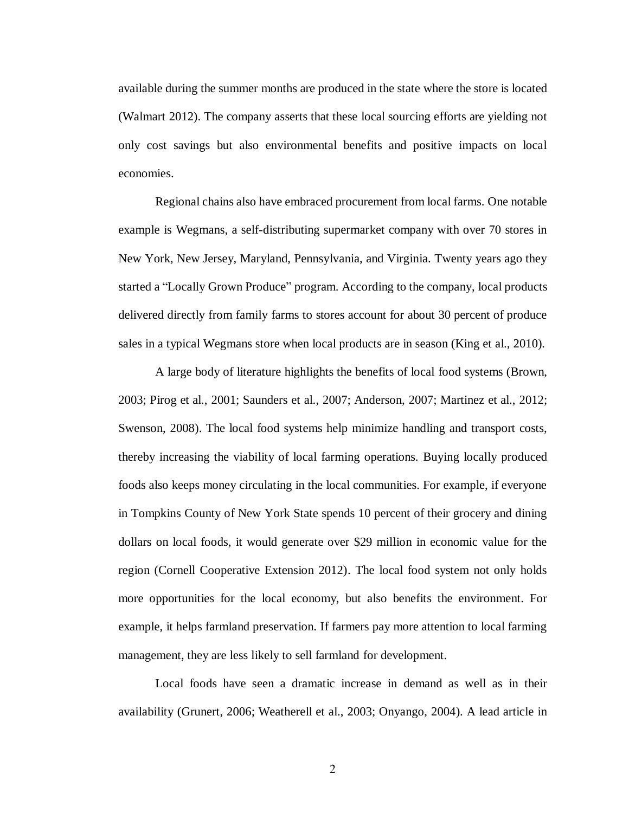available during the summer months are produced in the state where the store is located (Walmart 2012). The company asserts that these local sourcing efforts are yielding not only cost savings but also environmental benefits and positive impacts on local economies.

Regional chains also have embraced procurement from local farms. One notable example is Wegmans, a self-distributing supermarket company with over 70 stores in New York, New Jersey, Maryland, Pennsylvania, and Virginia. Twenty years ago they started a "Locally Grown Produce" program. According to the company, local products delivered directly from family farms to stores account for about 30 percent of produce sales in a typical Wegmans store when local products are in season (King et al., 2010).

A large body of literature highlights the benefits of local food systems (Brown, 2003; Pirog et al., 2001; Saunders et al., 2007; Anderson, 2007; Martinez et al., 2012; Swenson, 2008). The local food systems help minimize handling and transport costs, thereby increasing the viability of local farming operations. Buying locally produced foods also keeps money circulating in the local communities. For example, if everyone in Tompkins County of New York State spends 10 percent of their grocery and dining dollars on local foods, it would generate over \$29 million in economic value for the region (Cornell Cooperative Extension 2012). The local food system not only holds more opportunities for the local economy, but also benefits the environment. For example, it helps farmland preservation. If farmers pay more attention to local farming management, they are less likely to sell farmland for development.

Local foods have seen a dramatic increase in demand as well as in their availability (Grunert, 2006; Weatherell et al., 2003; Onyango, 2004). A lead article in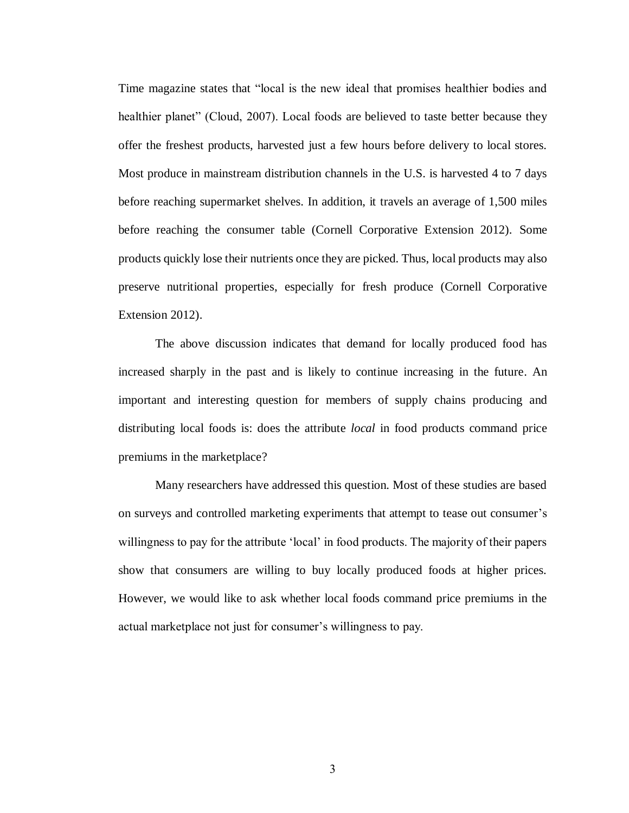Time magazine states that "local is the new ideal that promises healthier bodies and healthier planet" (Cloud, 2007). Local foods are believed to taste better because they offer the freshest products, harvested just a few hours before delivery to local stores. Most produce in mainstream distribution channels in the U.S. is harvested 4 to 7 days before reaching supermarket shelves. In addition, it travels an average of 1,500 miles before reaching the consumer table (Cornell Corporative Extension 2012). Some products quickly lose their nutrients once they are picked. Thus, local products may also preserve nutritional properties, especially for fresh produce (Cornell Corporative Extension 2012).

The above discussion indicates that demand for locally produced food has increased sharply in the past and is likely to continue increasing in the future. An important and interesting question for members of supply chains producing and distributing local foods is: does the attribute *local* in food products command price premiums in the marketplace?

Many researchers have addressed this question. Most of these studies are based on surveys and controlled marketing experiments that attempt to tease out consumer's willingness to pay for the attribute 'local' in food products. The majority of their papers show that consumers are willing to buy locally produced foods at higher prices. However, we would like to ask whether local foods command price premiums in the actual marketplace not just for consumer's willingness to pay.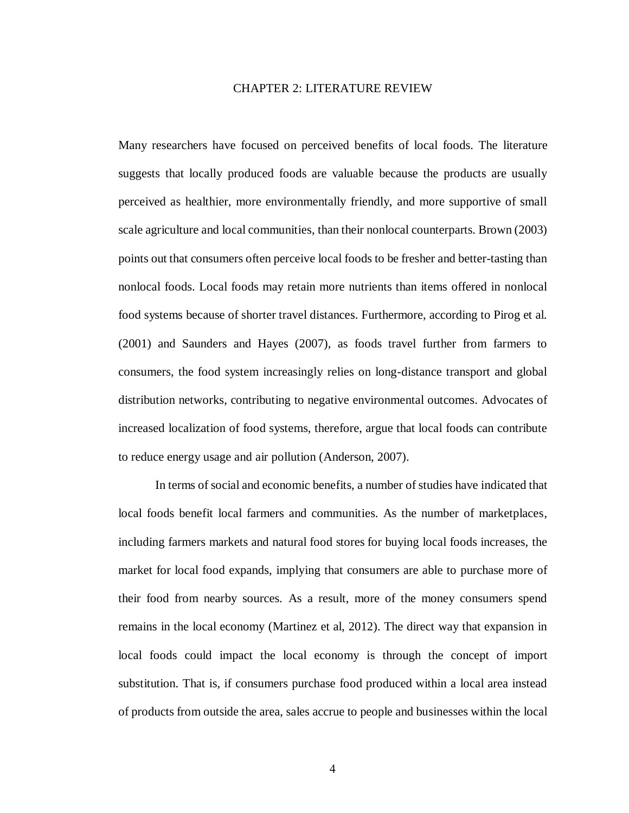#### CHAPTER 2: LITERATURE REVIEW

<span id="page-11-0"></span>Many researchers have focused on perceived benefits of local foods. The literature suggests that locally produced foods are valuable because the products are usually perceived as healthier, more environmentally friendly, and more supportive of small scale agriculture and local communities, than their nonlocal counterparts. Brown (2003) points out that consumers often perceive local foods to be fresher and better-tasting than nonlocal foods. Local foods may retain more nutrients than items offered in nonlocal food systems because of shorter travel distances. Furthermore, according to Pirog et al. (2001) and Saunders and Hayes (2007), as foods travel further from farmers to consumers, the food system increasingly relies on long-distance transport and global distribution networks, contributing to negative environmental outcomes. Advocates of increased localization of food systems, therefore, argue that local foods can contribute to reduce energy usage and air pollution (Anderson, 2007).

In terms of social and economic benefits, a number of studies have indicated that local foods benefit local farmers and communities. As the number of marketplaces, including farmers markets and natural food stores for buying local foods increases, the market for local food expands, implying that consumers are able to purchase more of their food from nearby sources. As a result, more of the money consumers spend remains in the local economy (Martinez et al, 2012). The direct way that expansion in local foods could impact the local economy is through the concept of import substitution. That is, if consumers purchase food produced within a local area instead of products from outside the area, sales accrue to people and businesses within the local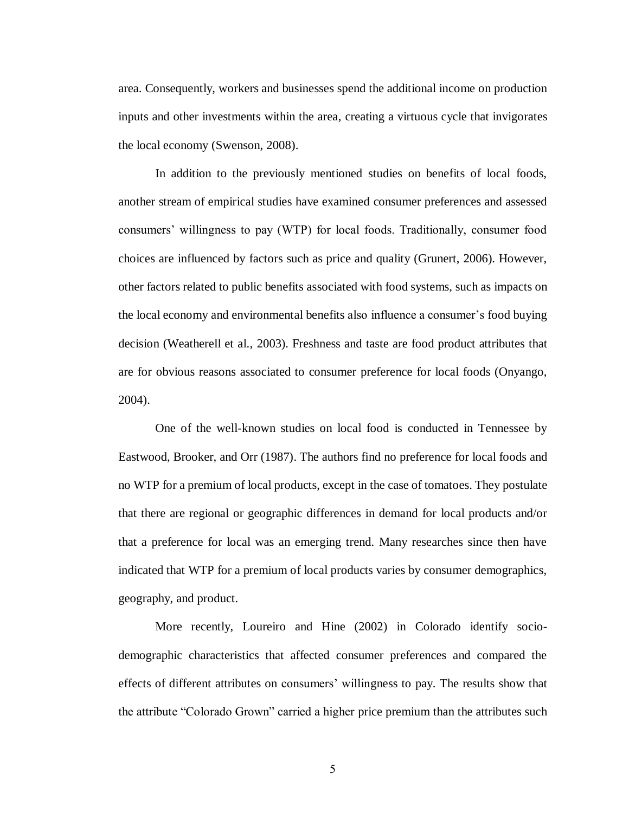area. Consequently, workers and businesses spend the additional income on production inputs and other investments within the area, creating a virtuous cycle that invigorates the local economy (Swenson, 2008).

In addition to the previously mentioned studies on benefits of local foods, another stream of empirical studies have examined consumer preferences and assessed consumers' willingness to pay (WTP) for local foods. Traditionally, consumer food choices are influenced by factors such as price and quality (Grunert, 2006). However, other factors related to public benefits associated with food systems, such as impacts on the local economy and environmental benefits also influence a consumer's food buying decision (Weatherell et al., 2003). Freshness and taste are food product attributes that are for obvious reasons associated to consumer preference for local foods (Onyango, 2004).

One of the well-known studies on local food is conducted in Tennessee by Eastwood, Brooker, and Orr (1987). The authors find no preference for local foods and no WTP for a premium of local products, except in the case of tomatoes. They postulate that there are regional or geographic differences in demand for local products and/or that a preference for local was an emerging trend. Many researches since then have indicated that WTP for a premium of local products varies by consumer demographics, geography, and product.

More recently, Loureiro and Hine (2002) in Colorado identify sociodemographic characteristics that affected consumer preferences and compared the effects of different attributes on consumers' willingness to pay. The results show that the attribute "Colorado Grown" carried a higher price premium than the attributes such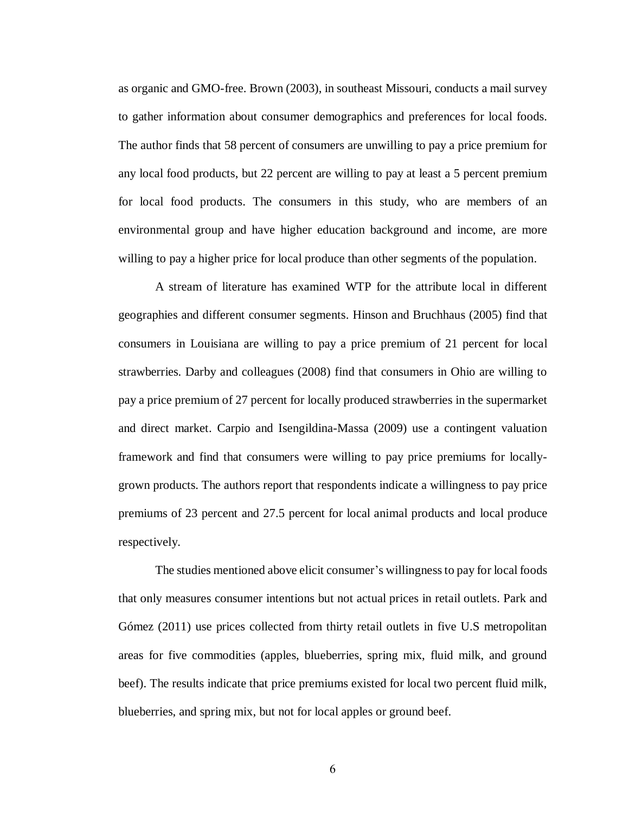as organic and GMO-free. Brown (2003), in southeast Missouri, conducts a mail survey to gather information about consumer demographics and preferences for local foods. The author finds that 58 percent of consumers are unwilling to pay a price premium for any local food products, but 22 percent are willing to pay at least a 5 percent premium for local food products. The consumers in this study, who are members of an environmental group and have higher education background and income, are more willing to pay a higher price for local produce than other segments of the population.

A stream of literature has examined WTP for the attribute local in different geographies and different consumer segments. Hinson and Bruchhaus (2005) find that consumers in Louisiana are willing to pay a price premium of 21 percent for local strawberries. Darby and colleagues (2008) find that consumers in Ohio are willing to pay a price premium of 27 percent for locally produced strawberries in the supermarket and direct market. Carpio and Isengildina-Massa (2009) use a contingent valuation framework and find that consumers were willing to pay price premiums for locallygrown products. The authors report that respondents indicate a willingness to pay price premiums of 23 percent and 27.5 percent for local animal products and local produce respectively.

The studies mentioned above elicit consumer's willingness to pay for local foods that only measures consumer intentions but not actual prices in retail outlets. Park and Gómez (2011) use prices collected from thirty retail outlets in five U.S metropolitan areas for five commodities (apples, blueberries, spring mix, fluid milk, and ground beef). The results indicate that price premiums existed for local two percent fluid milk, blueberries, and spring mix, but not for local apples or ground beef.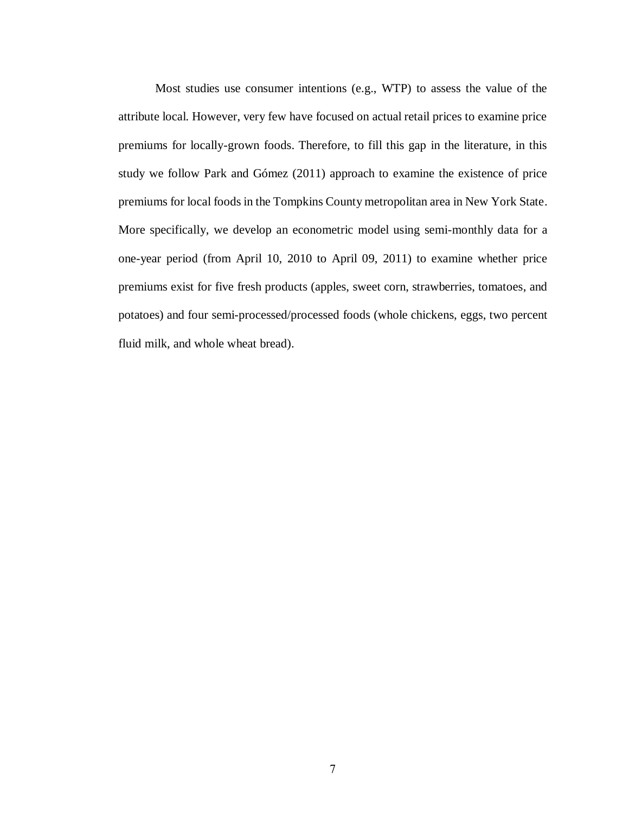Most studies use consumer intentions (e.g., WTP) to assess the value of the attribute local. However, very few have focused on actual retail prices to examine price premiums for locally-grown foods. Therefore, to fill this gap in the literature, in this study we follow Park and Gómez (2011) approach to examine the existence of price premiums for local foods in the Tompkins County metropolitan area in New York State. More specifically, we develop an econometric model using semi-monthly data for a one-year period (from April 10, 2010 to April 09, 2011) to examine whether price premiums exist for five fresh products (apples, sweet corn, strawberries, tomatoes, and potatoes) and four semi-processed/processed foods (whole chickens, eggs, two percent fluid milk, and whole wheat bread).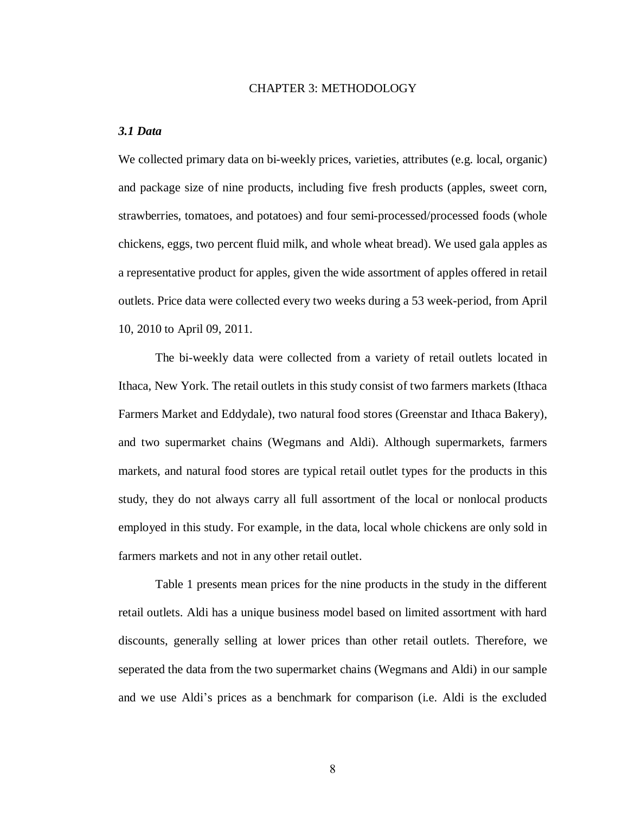#### CHAPTER 3: METHODOLOGY

#### <span id="page-15-1"></span><span id="page-15-0"></span>*3.1 Data*

We collected primary data on bi-weekly prices, varieties, attributes (e.g. local, organic) and package size of nine products, including five fresh products (apples, sweet corn, strawberries, tomatoes, and potatoes) and four semi-processed/processed foods (whole chickens, eggs, two percent fluid milk, and whole wheat bread). We used gala apples as a representative product for apples, given the wide assortment of apples offered in retail outlets. Price data were collected every two weeks during a 53 week-period, from April 10, 2010 to April 09, 2011.

The bi-weekly data were collected from a variety of retail outlets located in Ithaca, New York. The retail outlets in this study consist of two farmers markets (Ithaca Farmers Market and Eddydale), two natural food stores (Greenstar and Ithaca Bakery), and two supermarket chains (Wegmans and Aldi). Although supermarkets, farmers markets, and natural food stores are typical retail outlet types for the products in this study, they do not always carry all full assortment of the local or nonlocal products employed in this study. For example, in the data, local whole chickens are only sold in farmers markets and not in any other retail outlet.

Table 1 presents mean prices for the nine products in the study in the different retail outlets. Aldi has a unique business model based on limited assortment with hard discounts, generally selling at lower prices than other retail outlets. Therefore, we seperated the data from the two supermarket chains (Wegmans and Aldi) in our sample and we use Aldi's prices as a benchmark for comparison (i.e. Aldi is the excluded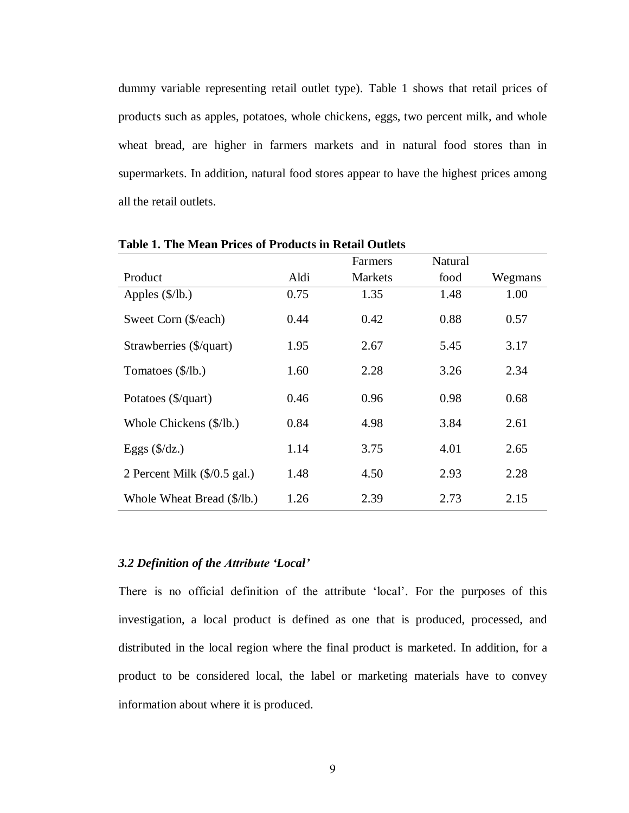dummy variable representing retail outlet type). Table 1 shows that retail prices of products such as apples, potatoes, whole chickens, eggs, two percent milk, and whole wheat bread, are higher in farmers markets and in natural food stores than in supermarkets. In addition, natural food stores appear to have the highest prices among all the retail outlets.

|                                       |      | Farmers        | <b>Natural</b> |         |
|---------------------------------------|------|----------------|----------------|---------|
| Product                               | Aldi | <b>Markets</b> | food           | Wegmans |
| Apples $(\frac{5}{lb})$               | 0.75 | 1.35           | 1.48           | 1.00    |
| Sweet Corn (\$/each)                  | 0.44 | 0.42           | 0.88           | 0.57    |
| Strawberries (\$/quart)               | 1.95 | 2.67           | 5.45           | 3.17    |
| Tomatoes (\$/lb.)                     | 1.60 | 2.28           | 3.26           | 2.34    |
| Potatoes (\$/quart)                   | 0.46 | 0.96           | 0.98           | 0.68    |
| Whole Chickens (\$/lb.)               | 0.84 | 4.98           | 3.84           | 2.61    |
| Eggs $(\frac{6}{dz})$                 | 1.14 | 3.75           | 4.01           | 2.65    |
| 2 Percent Milk $(\frac{6}{0.5}$ gal.) | 1.48 | 4.50           | 2.93           | 2.28    |
| Whole Wheat Bread (\$/lb.)            | 1.26 | 2.39           | 2.73           | 2.15    |

<span id="page-16-1"></span>**Table 1. The Mean Prices of Products in Retail Outlets**

#### <span id="page-16-0"></span>*3.2 Definition of the Attribute 'Local'*

There is no official definition of the attribute 'local'. For the purposes of this investigation, a local product is defined as one that is produced, processed, and distributed in the local region where the final product is marketed. In addition, for a product to be considered local, the label or marketing materials have to convey information about where it is produced.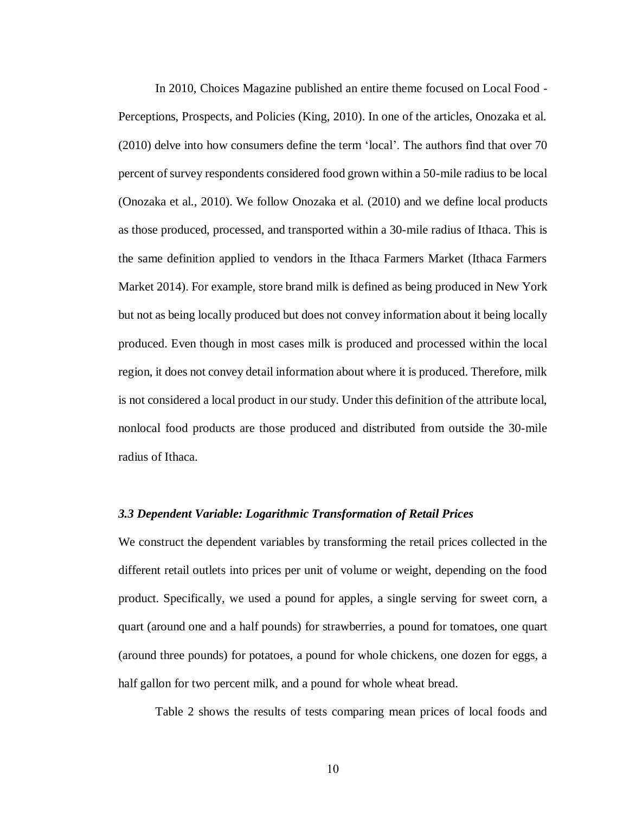In 2010, Choices Magazine published an entire theme focused on Local Food - Perceptions, Prospects, and Policies (King, 2010). In one of the articles, Onozaka et al. (2010) delve into how consumers define the term 'local'. The authors find that over 70 percent of survey respondents considered food grown within a 50-mile radius to be local (Onozaka et al., 2010). We follow Onozaka et al. (2010) and we define local products as those produced, processed, and transported within a 30-mile radius of Ithaca. This is the same definition applied to vendors in the Ithaca Farmers Market (Ithaca Farmers Market 2014). For example, store brand milk is defined as being produced in New York but not as being locally produced but does not convey information about it being locally produced. Even though in most cases milk is produced and processed within the local region, it does not convey detail information about where it is produced. Therefore, milk is not considered a local product in our study. Under this definition of the attribute local, nonlocal food products are those produced and distributed from outside the 30-mile radius of Ithaca.

#### <span id="page-17-0"></span>*3.3 Dependent Variable: Logarithmic Transformation of Retail Prices*

We construct the dependent variables by transforming the retail prices collected in the different retail outlets into prices per unit of volume or weight, depending on the food product. Specifically, we used a pound for apples, a single serving for sweet corn, a quart (around one and a half pounds) for strawberries, a pound for tomatoes, one quart (around three pounds) for potatoes, a pound for whole chickens, one dozen for eggs, a half gallon for two percent milk, and a pound for whole wheat bread.

Table 2 shows the results of tests comparing mean prices of local foods and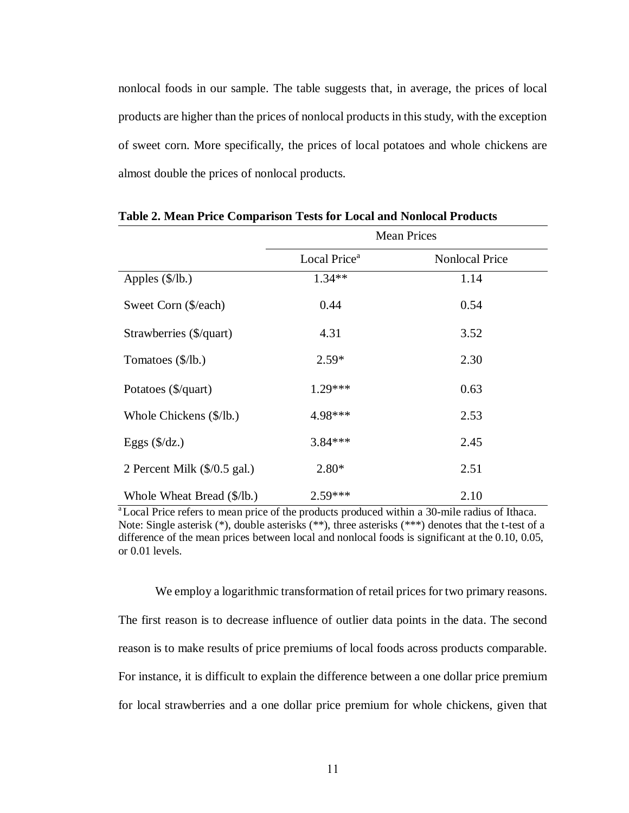nonlocal foods in our sample. The table suggests that, in average, the prices of local products are higher than the prices of nonlocal products in this study, with the exception of sweet corn. More specifically, the prices of local potatoes and whole chickens are almost double the prices of nonlocal products.

|                              |                          | <b>Mean Prices</b>    |  |
|------------------------------|--------------------------|-----------------------|--|
|                              | Local Price <sup>a</sup> | <b>Nonlocal Price</b> |  |
| Apples $(\frac{8}{lb})$      | $1.34**$                 | 1.14                  |  |
| Sweet Corn (\$/each)         | 0.44                     | 0.54                  |  |
| Strawberries (\$/quart)      | 4.31                     | 3.52                  |  |
| Tomatoes (\$/lb.)            | $2.59*$                  | 2.30                  |  |
| Potatoes (\$/quart)          | $1.29***$                | 0.63                  |  |
| Whole Chickens (\$/lb.)      | 4.98***                  | 2.53                  |  |
| Eggs $(\frac{6}{dz})$        | 3.84 ***                 | 2.45                  |  |
| 2 Percent Milk (\$/0.5 gal.) | $2.80*$                  | 2.51                  |  |
| Whole Wheat Bread (\$/lb.)   | $2.59***$                | 2.10                  |  |

<span id="page-18-0"></span>**Table 2. Mean Price Comparison Tests for Local and Nonlocal Products**

<sup>a</sup>Local Price refers to mean price of the products produced within a 30-mile radius of Ithaca. Note: Single asterisk (\*), double asterisks (\*\*), three asterisks (\*\*\*) denotes that the t-test of a difference of the mean prices between local and nonlocal foods is significant at the 0.10, 0.05, or 0.01 levels.

We employ a logarithmic transformation of retail prices for two primary reasons. The first reason is to decrease influence of outlier data points in the data. The second reason is to make results of price premiums of local foods across products comparable. For instance, it is difficult to explain the difference between a one dollar price premium for local strawberries and a one dollar price premium for whole chickens, given that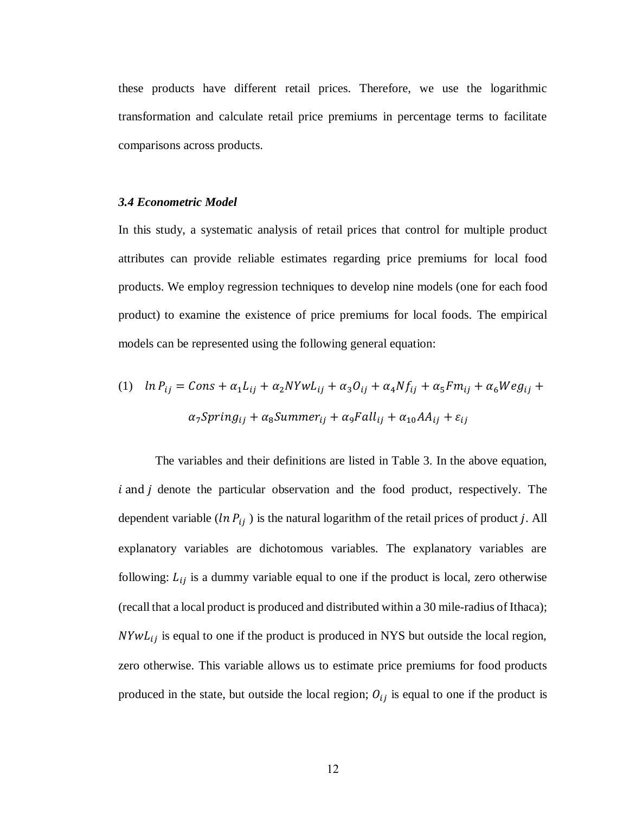these products have different retail prices. Therefore, we use the logarithmic transformation and calculate retail price premiums in percentage terms to facilitate comparisons across products.

#### <span id="page-19-0"></span>*3.4 Econometric Model*

In this study, a systematic analysis of retail prices that control for multiple product attributes can provide reliable estimates regarding price premiums for local food products. We employ regression techniques to develop nine models (one for each food product) to examine the existence of price premiums for local foods. The empirical models can be represented using the following general equation:

(1) 
$$
\ln P_{ij} = \text{Cons} + \alpha_1 L_{ij} + \alpha_2 N Y w L_{ij} + \alpha_3 O_{ij} + \alpha_4 N f_{ij} + \alpha_5 F m_{ij} + \alpha_6 W e g_{ij} + \alpha_7 S pring_{ij} + \alpha_8 Summer_{ij} + \alpha_9 F all_{ij} + \alpha_{10} A A_{ij} + \varepsilon_{ij}
$$

The variables and their definitions are listed in Table 3. In the above equation,  $i$  and  $j$  denote the particular observation and the food product, respectively. The dependent variable ( $ln P_{ij}$ ) is the natural logarithm of the retail prices of product j. All explanatory variables are dichotomous variables. The explanatory variables are following:  $L_{ij}$  is a dummy variable equal to one if the product is local, zero otherwise (recall that a local product is produced and distributed within a 30 mile-radius of Ithaca);  $NYwL_{ij}$  is equal to one if the product is produced in NYS but outside the local region, zero otherwise. This variable allows us to estimate price premiums for food products produced in the state, but outside the local region;  $O_{ij}$  is equal to one if the product is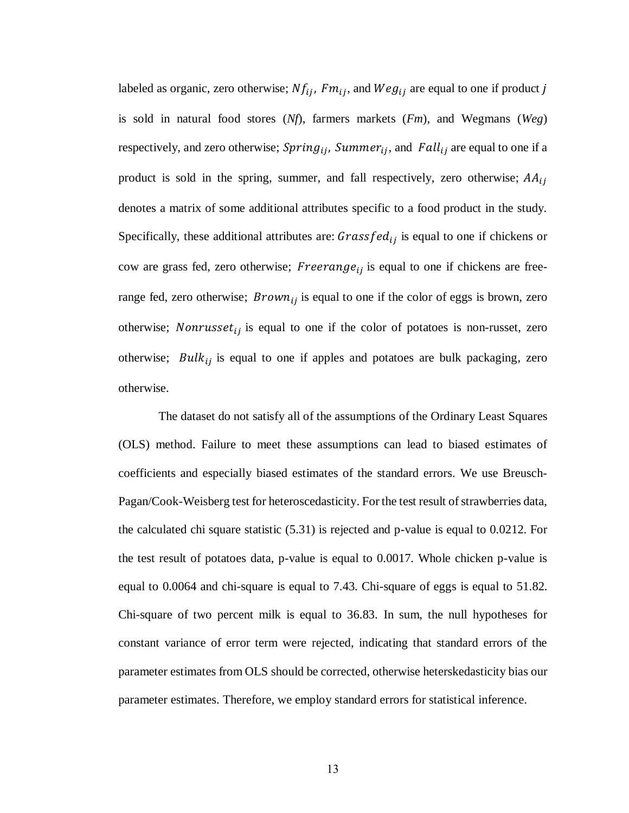labeled as organic, zero otherwise;  $Nf_{ij}$ ,  $Fm_{ij}$ , and  $Weg_{ij}$  are equal to one if product j is sold in natural food stores (*Nf*), farmers markets (*Fm*), and Wegmans (*Weg*) respectively, and zero otherwise;  $Spring_{ij}$ ,  $Summer_{ij}$ , and  $Fall_{ij}$  are equal to one if a product is sold in the spring, summer, and fall respectively, zero otherwise;  $AA_{ij}$ denotes a matrix of some additional attributes specific to a food product in the study. Specifically, these additional attributes are:  $Grassfed_{ij}$  is equal to one if chickens or cow are grass fed, zero otherwise; Freerange<sub>ij</sub> is equal to one if chickens are freerange fed, zero otherwise;  $Brown_{ij}$  is equal to one if the color of eggs is brown, zero otherwise; *Nonrusset<sub>ij</sub>* is equal to one if the color of potatoes is non-russet, zero otherwise;  $Bulk_{ij}$  is equal to one if apples and potatoes are bulk packaging, zero otherwise.

The dataset do not satisfy all of the assumptions of the Ordinary Least Squares (OLS) method. Failure to meet these assumptions can lead to biased estimates of coefficients and especially biased estimates of the standard errors. We use Breusch-Pagan/Cook-Weisberg test for heteroscedasticity. For the test result of strawberries data, the calculated chi square statistic (5.31) is rejected and p-value is equal to 0.0212. For the test result of potatoes data, p-value is equal to 0.0017. Whole chicken p-value is equal to 0.0064 and chi-square is equal to 7.43. Chi-square of eggs is equal to 51.82. Chi-square of two percent milk is equal to 36.83. In sum, the null hypotheses for constant variance of error term were rejected, indicating that standard errors of the parameter estimates from OLS should be corrected, otherwise heterskedasticity bias our parameter estimates. Therefore, we employ standard errors for statistical inference.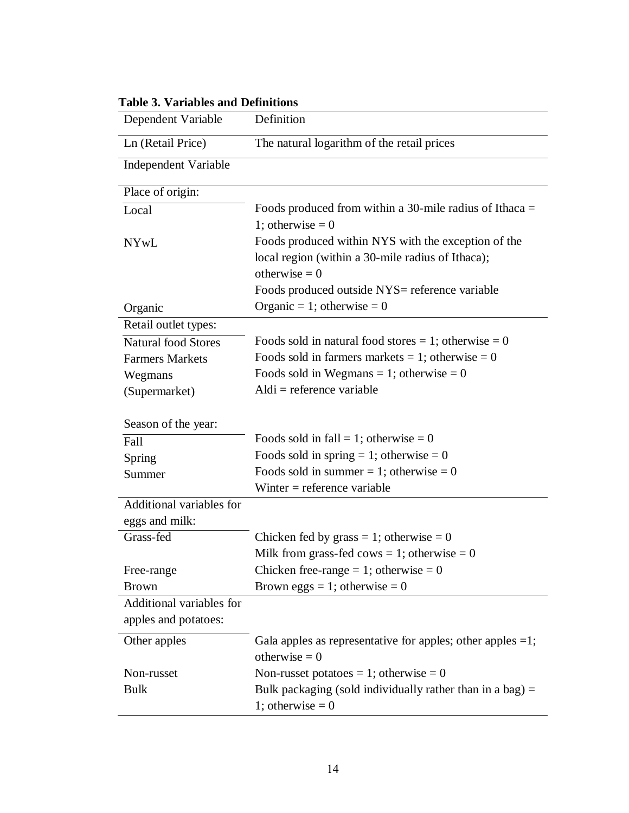| Dependent Variable                               | Definition                                                                                                                                                                    |
|--------------------------------------------------|-------------------------------------------------------------------------------------------------------------------------------------------------------------------------------|
| Ln (Retail Price)                                | The natural logarithm of the retail prices                                                                                                                                    |
| <b>Independent Variable</b>                      |                                                                                                                                                                               |
| Place of origin:                                 |                                                                                                                                                                               |
| Local                                            | Foods produced from within a 30-mile radius of Ithaca $=$<br>1; otherwise = $0$                                                                                               |
| <b>NYwL</b>                                      | Foods produced within NYS with the exception of the<br>local region (within a 30-mile radius of Ithaca);<br>otherwise $= 0$<br>Foods produced outside NYS= reference variable |
| Organic                                          | Organic = 1; otherwise = 0                                                                                                                                                    |
| Retail outlet types:                             |                                                                                                                                                                               |
| <b>Natural food Stores</b>                       | Foods sold in natural food stores = 1; otherwise = 0                                                                                                                          |
| <b>Farmers Markets</b>                           | Foods sold in farmers markets = 1; otherwise = 0                                                                                                                              |
| Wegmans                                          | Foods sold in Wegmans = 1; otherwise = 0                                                                                                                                      |
| (Supermarket)                                    | $Aldi$ = reference variable                                                                                                                                                   |
| Season of the year:                              |                                                                                                                                                                               |
| Fall                                             | Foods sold in fall = 1; otherwise = 0                                                                                                                                         |
| Spring                                           | Foods sold in spring = 1; otherwise = 0                                                                                                                                       |
| Summer                                           | Foods sold in summer = 1; otherwise = 0                                                                                                                                       |
|                                                  | Winter $=$ reference variable                                                                                                                                                 |
| Additional variables for<br>eggs and milk:       |                                                                                                                                                                               |
| Grass-fed                                        | Chicken fed by grass = 1; otherwise = 0                                                                                                                                       |
|                                                  | Milk from grass-fed cows = 1; otherwise = 0                                                                                                                                   |
| Free-range                                       | Chicken free-range = 1; otherwise = 0                                                                                                                                         |
| <b>Brown</b>                                     | Brown eggs = 1; otherwise = $0$                                                                                                                                               |
| Additional variables for<br>apples and potatoes: |                                                                                                                                                                               |
| Other apples                                     | Gala apples as representative for apples; other apples $=1$ ;<br>otherwise $= 0$                                                                                              |
| Non-russet                                       | Non-russet potatoes = 1; otherwise = 0                                                                                                                                        |
| <b>Bulk</b>                                      | Bulk packaging (sold individually rather than in a bag) $=$<br>1; otherwise $= 0$                                                                                             |

# <span id="page-21-0"></span>**Table 3. Variables and Definitions**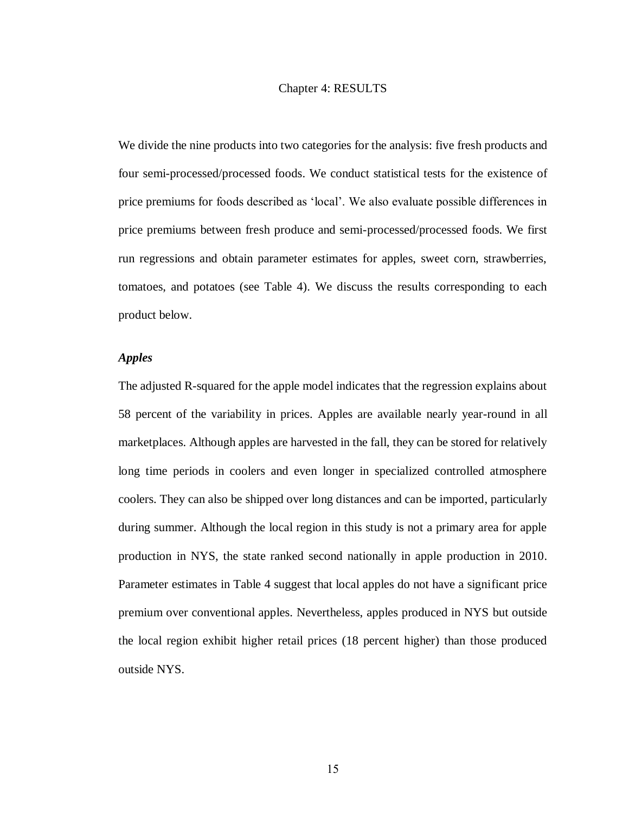#### Chapter 4: RESULTS

<span id="page-22-0"></span>We divide the nine products into two categories for the analysis: five fresh products and four semi-processed/processed foods. We conduct statistical tests for the existence of price premiums for foods described as 'local'. We also evaluate possible differences in price premiums between fresh produce and semi-processed/processed foods. We first run regressions and obtain parameter estimates for apples, sweet corn, strawberries, tomatoes, and potatoes (see Table 4). We discuss the results corresponding to each product below.

#### *Apples*

The adjusted R-squared for the apple model indicates that the regression explains about 58 percent of the variability in prices. Apples are available nearly year-round in all marketplaces. Although apples are harvested in the fall, they can be stored for relatively long time periods in coolers and even longer in specialized controlled atmosphere coolers. They can also be shipped over long distances and can be imported, particularly during summer. Although the local region in this study is not a primary area for apple production in NYS, the state ranked second nationally in apple production in 2010. Parameter estimates in Table 4 suggest that local apples do not have a significant price premium over conventional apples. Nevertheless, apples produced in NYS but outside the local region exhibit higher retail prices (18 percent higher) than those produced outside NYS.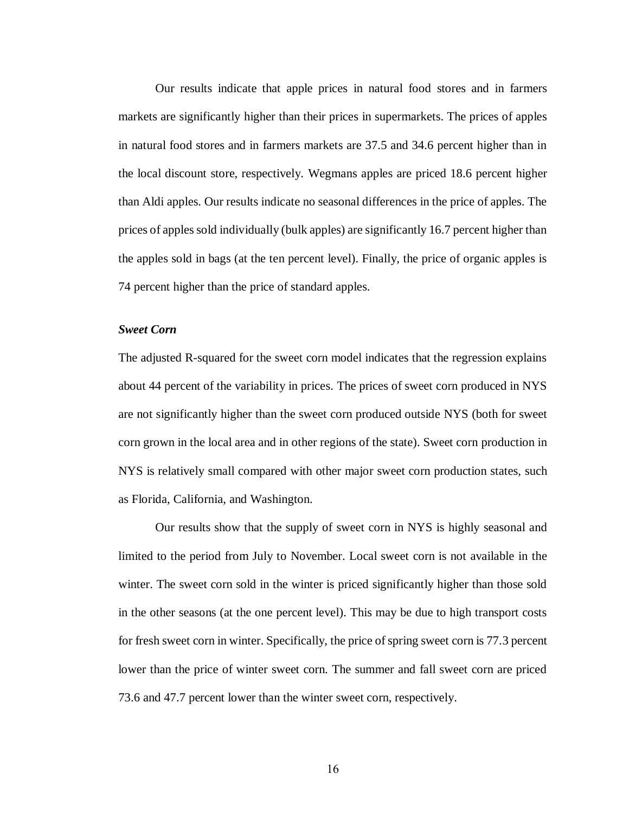Our results indicate that apple prices in natural food stores and in farmers markets are significantly higher than their prices in supermarkets. The prices of apples in natural food stores and in farmers markets are 37.5 and 34.6 percent higher than in the local discount store, respectively. Wegmans apples are priced 18.6 percent higher than Aldi apples. Our results indicate no seasonal differences in the price of apples. The prices of apples sold individually (bulk apples) are significantly 16.7 percent higher than the apples sold in bags (at the ten percent level). Finally, the price of organic apples is 74 percent higher than the price of standard apples.

#### *Sweet Corn*

The adjusted R-squared for the sweet corn model indicates that the regression explains about 44 percent of the variability in prices. The prices of sweet corn produced in NYS are not significantly higher than the sweet corn produced outside NYS (both for sweet corn grown in the local area and in other regions of the state). Sweet corn production in NYS is relatively small compared with other major sweet corn production states, such as Florida, California, and Washington.

Our results show that the supply of sweet corn in NYS is highly seasonal and limited to the period from July to November. Local sweet corn is not available in the winter. The sweet corn sold in the winter is priced significantly higher than those sold in the other seasons (at the one percent level). This may be due to high transport costs for fresh sweet corn in winter. Specifically, the price of spring sweet corn is 77.3 percent lower than the price of winter sweet corn. The summer and fall sweet corn are priced 73.6 and 47.7 percent lower than the winter sweet corn, respectively.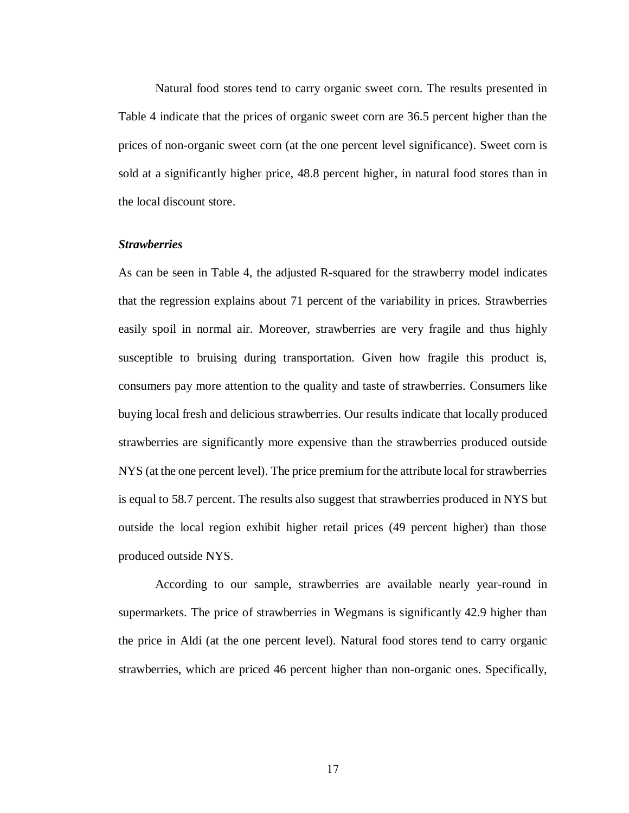Natural food stores tend to carry organic sweet corn. The results presented in Table 4 indicate that the prices of organic sweet corn are 36.5 percent higher than the prices of non-organic sweet corn (at the one percent level significance). Sweet corn is sold at a significantly higher price, 48.8 percent higher, in natural food stores than in the local discount store.

#### *Strawberries*

As can be seen in Table 4, the adjusted R-squared for the strawberry model indicates that the regression explains about 71 percent of the variability in prices. Strawberries easily spoil in normal air. Moreover, strawberries are very fragile and thus highly susceptible to bruising during transportation. Given how fragile this product is, consumers pay more attention to the quality and taste of strawberries. Consumers like buying local fresh and delicious strawberries. Our results indicate that locally produced strawberries are significantly more expensive than the strawberries produced outside NYS (at the one percent level). The price premium for the attribute local for strawberries is equal to 58.7 percent. The results also suggest that strawberries produced in NYS but outside the local region exhibit higher retail prices (49 percent higher) than those produced outside NYS.

According to our sample, strawberries are available nearly year-round in supermarkets. The price of strawberries in Wegmans is significantly 42.9 higher than the price in Aldi (at the one percent level). Natural food stores tend to carry organic strawberries, which are priced 46 percent higher than non-organic ones. Specifically,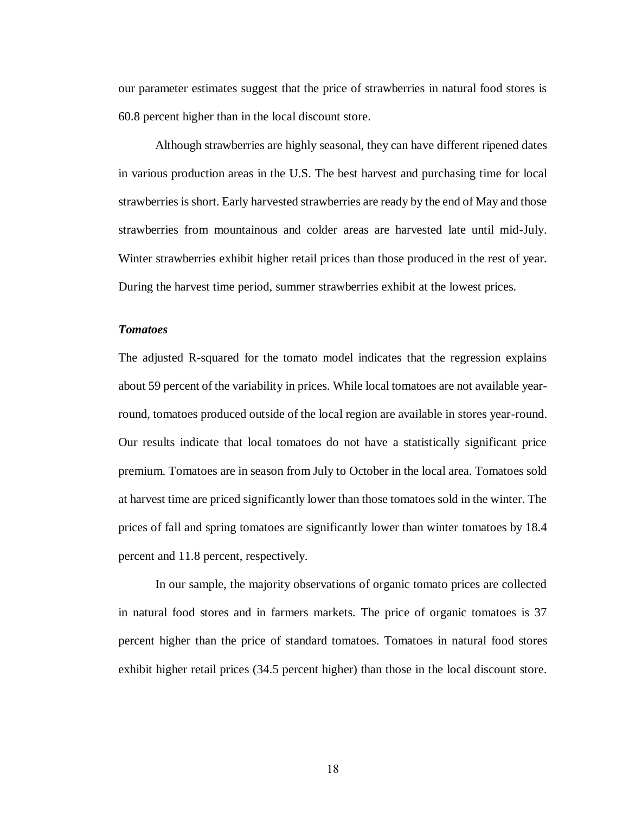our parameter estimates suggest that the price of strawberries in natural food stores is 60.8 percent higher than in the local discount store.

Although strawberries are highly seasonal, they can have different ripened dates in various production areas in the U.S. The best harvest and purchasing time for local strawberries is short. Early harvested strawberries are ready by the end of May and those strawberries from mountainous and colder areas are harvested late until mid-July. Winter strawberries exhibit higher retail prices than those produced in the rest of year. During the harvest time period, summer strawberries exhibit at the lowest prices.

#### *Tomatoes*

The adjusted R-squared for the tomato model indicates that the regression explains about 59 percent of the variability in prices. While local tomatoes are not available yearround, tomatoes produced outside of the local region are available in stores year-round. Our results indicate that local tomatoes do not have a statistically significant price premium. Tomatoes are in season from July to October in the local area. Tomatoes sold at harvest time are priced significantly lower than those tomatoes sold in the winter. The prices of fall and spring tomatoes are significantly lower than winter tomatoes by 18.4 percent and 11.8 percent, respectively.

In our sample, the majority observations of organic tomato prices are collected in natural food stores and in farmers markets. The price of organic tomatoes is 37 percent higher than the price of standard tomatoes. Tomatoes in natural food stores exhibit higher retail prices (34.5 percent higher) than those in the local discount store.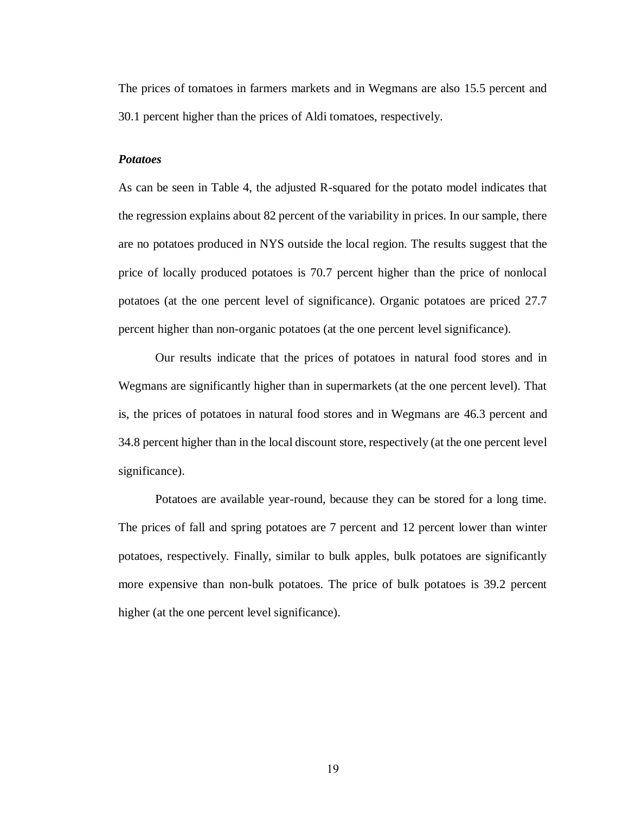The prices of tomatoes in farmers markets and in Wegmans are also 15.5 percent and 30.1 percent higher than the prices of Aldi tomatoes, respectively.

#### *Potatoes*

As can be seen in Table 4, the adjusted R-squared for the potato model indicates that the regression explains about 82 percent of the variability in prices. In our sample, there are no potatoes produced in NYS outside the local region. The results suggest that the price of locally produced potatoes is 70.7 percent higher than the price of nonlocal potatoes (at the one percent level of significance). Organic potatoes are priced 27.7 percent higher than non-organic potatoes (at the one percent level significance).

Our results indicate that the prices of potatoes in natural food stores and in Wegmans are significantly higher than in supermarkets (at the one percent level). That is, the prices of potatoes in natural food stores and in Wegmans are 46.3 percent and 34.8 percent higher than in the local discount store, respectively (at the one percent level significance).

Potatoes are available year-round, because they can be stored for a long time. The prices of fall and spring potatoes are 7 percent and 12 percent lower than winter potatoes, respectively. Finally, similar to bulk apples, bulk potatoes are significantly more expensive than non-bulk potatoes. The price of bulk potatoes is 39.2 percent higher (at the one percent level significance).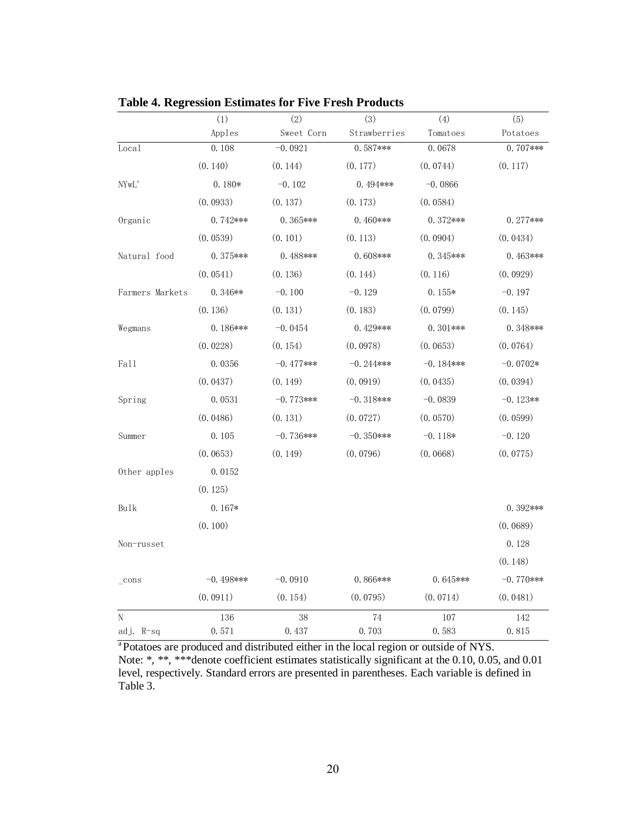|                                                                                       | (1)          | (2)         | (3)          | (4)         | (5)          |
|---------------------------------------------------------------------------------------|--------------|-------------|--------------|-------------|--------------|
|                                                                                       | Apples       | Sweet Corn  | Strawberries | Tomatoes    | Potatoes     |
| Local                                                                                 | 0.108        | $-0.0921$   | $0.587***$   | 0.0678      | $0.707***$   |
|                                                                                       | (0.140)      | (0.144)     | (0.177)      | (0.0744)    | (0.117)      |
| $\ensuremath{\text{NYw}}\xspace \ensuremath{\text{L}}\xspace^{\ensuremath{\text{a}}}$ | $0.180*$     | $-0.102$    | $0.494***$   | $-0.0866$   |              |
|                                                                                       | (0.0933)     | (0.137)     | (0.173)      | (0.0584)    |              |
| Organic                                                                               | $0.742***$   | $0.365***$  | $0.460$ ***  | $0.372***$  | $0.277***$   |
|                                                                                       | (0.0539)     | (0.101)     | (0.113)      | (0.0904)    | (0.0434)     |
| Natural food                                                                          | $0.375***$   | $0.488***$  | $0.608***$   | $0.345***$  | $0.463***$   |
|                                                                                       | (0.0541)     | (0.136)     | (0.144)      | (0.116)     | (0.0929)     |
| Farmers Markets                                                                       | $0.346**$    | $-0.100$    | $-0.129$     | $0.155*$    | $-0.197$     |
|                                                                                       | (0.136)      | (0.131)     | (0.183)      | (0.0799)    | (0.145)      |
| Wegmans                                                                               | $0.186***$   | $-0.0454$   | $0.429***$   | $0.301***$  | $0.348***$   |
|                                                                                       | (0.0228)     | (0.154)     | (0.0978)     | (0.0653)    | (0.0764)     |
| Fall                                                                                  | 0.0356       | $-0.477***$ | $-0.244***$  | $-0.184***$ | $-0.0702*$   |
|                                                                                       | (0.0437)     | (0.149)     | (0.0919)     | (0.0435)    | (0.0394)     |
| Spring                                                                                | 0.0531       | $-0.773***$ | $-0.318***$  | $-0.0839$   | $-0.123**$   |
|                                                                                       | (0.0486)     | (0.131)     | (0.0727)     | (0.0570)    | (0.0599)     |
| Summer                                                                                | 0.105        | $-0.736***$ | $-0.350$ *** | $-0.118*$   | $-0.120$     |
|                                                                                       | (0.0653)     | (0.149)     | (0.0796)     | (0.0668)    | (0.0775)     |
| Other apples                                                                          | 0.0152       |             |              |             |              |
|                                                                                       | (0.125)      |             |              |             |              |
| Bulk                                                                                  | $0.167*$     |             |              |             | $0.392***$   |
|                                                                                       | (0.100)      |             |              |             | (0.0689)     |
| Non-russet                                                                            |              |             |              |             | 0.128        |
|                                                                                       |              |             |              |             | (0.148)      |
| $_{\rm cons}$                                                                         | $-0.498$ *** | $-0.0910$   | $0.866***$   | $0.645***$  | $-0.770$ *** |
|                                                                                       | (0.0911)     | (0.154)     | (0.0795)     | (0.0714)    | (0.0481)     |
| N                                                                                     | 136          | 38          | 74           | 107         | 142          |
| adj. R-sq                                                                             | 0.571        | 0.437       | 0.703        | 0.583       | 0.815        |

<span id="page-27-0"></span>**Table 4. Regression Estimates for Five Fresh Products**

<sup>a</sup>Potatoes are produced and distributed either in the local region or outside of NYS. Note: \*, \*\*, \*\*\* denote coefficient estimates statistically significant at the 0.10, 0.05, and 0.01 level, respectively. Standard errors are presented in parentheses. Each variable is defined in Table 3.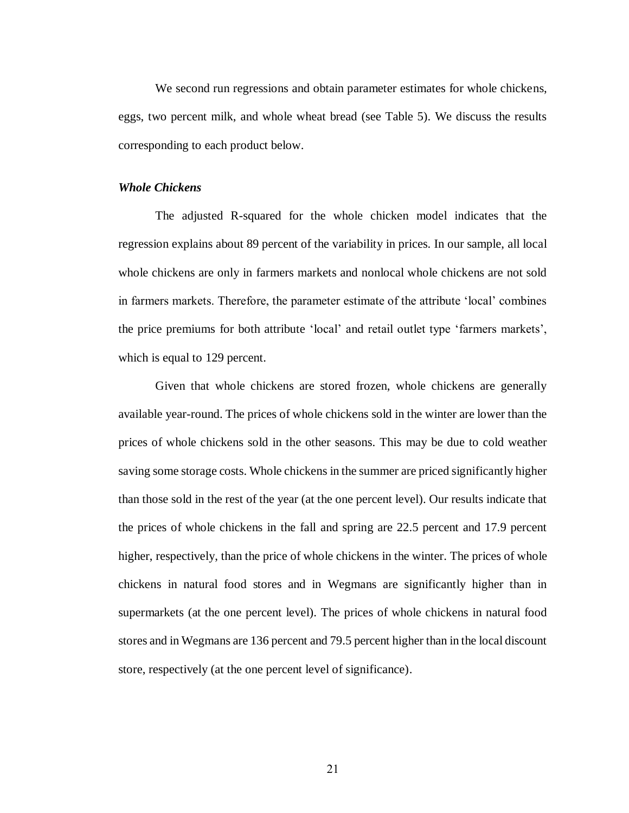We second run regressions and obtain parameter estimates for whole chickens, eggs, two percent milk, and whole wheat bread (see Table 5). We discuss the results corresponding to each product below.

#### *Whole Chickens*

The adjusted R-squared for the whole chicken model indicates that the regression explains about 89 percent of the variability in prices. In our sample, all local whole chickens are only in farmers markets and nonlocal whole chickens are not sold in farmers markets. Therefore, the parameter estimate of the attribute 'local' combines the price premiums for both attribute 'local' and retail outlet type 'farmers markets', which is equal to 129 percent.

Given that whole chickens are stored frozen, whole chickens are generally available year-round. The prices of whole chickens sold in the winter are lower than the prices of whole chickens sold in the other seasons. This may be due to cold weather saving some storage costs. Whole chickens in the summer are priced significantly higher than those sold in the rest of the year (at the one percent level). Our results indicate that the prices of whole chickens in the fall and spring are 22.5 percent and 17.9 percent higher, respectively, than the price of whole chickens in the winter. The prices of whole chickens in natural food stores and in Wegmans are significantly higher than in supermarkets (at the one percent level). The prices of whole chickens in natural food stores and in Wegmans are 136 percent and 79.5 percent higher than in the local discount store, respectively (at the one percent level of significance).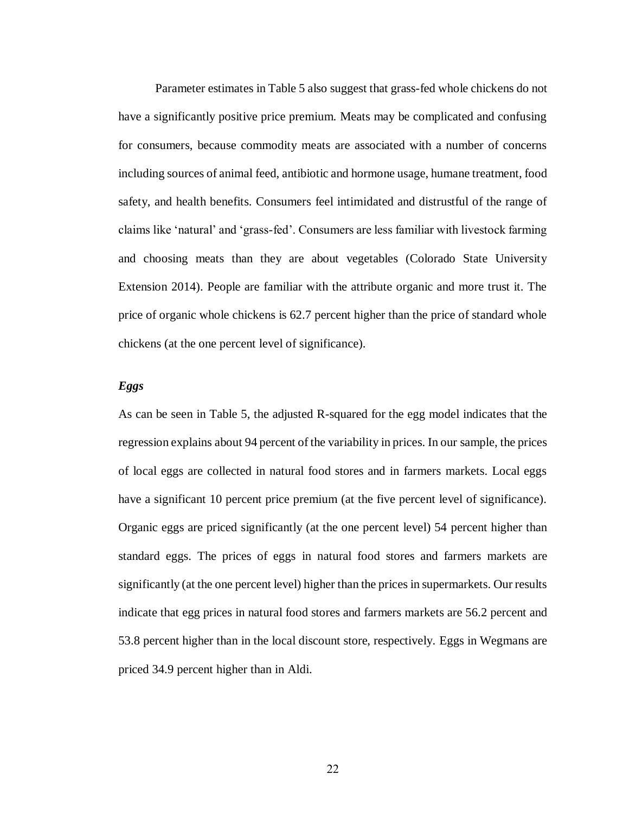Parameter estimates in Table 5 also suggest that grass-fed whole chickens do not have a significantly positive price premium. Meats may be complicated and confusing for consumers, because commodity meats are associated with a number of concerns including sources of animal feed, antibiotic and hormone usage, humane treatment, food safety, and health benefits. Consumers feel intimidated and distrustful of the range of claims like 'natural' and 'grass-fed'. Consumers are less familiar with livestock farming and choosing meats than they are about vegetables (Colorado State University Extension 2014). People are familiar with the attribute organic and more trust it. The price of organic whole chickens is 62.7 percent higher than the price of standard whole chickens (at the one percent level of significance).

#### *Eggs*

As can be seen in Table 5, the adjusted R-squared for the egg model indicates that the regression explains about 94 percent of the variability in prices. In our sample, the prices of local eggs are collected in natural food stores and in farmers markets. Local eggs have a significant 10 percent price premium (at the five percent level of significance). Organic eggs are priced significantly (at the one percent level) 54 percent higher than standard eggs. The prices of eggs in natural food stores and farmers markets are significantly (at the one percent level) higher than the prices in supermarkets. Our results indicate that egg prices in natural food stores and farmers markets are 56.2 percent and 53.8 percent higher than in the local discount store, respectively. Eggs in Wegmans are priced 34.9 percent higher than in Aldi.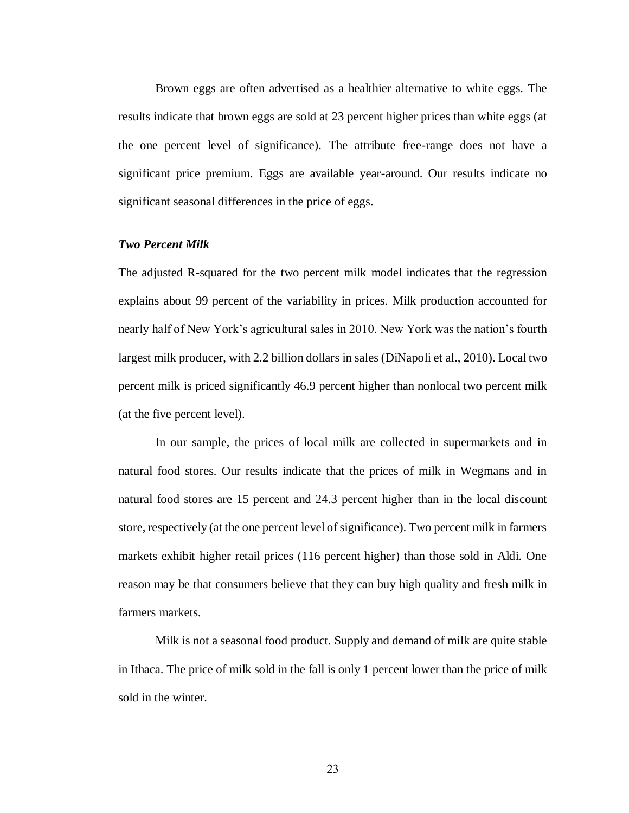Brown eggs are often advertised as a healthier alternative to white eggs. The results indicate that brown eggs are sold at 23 percent higher prices than white eggs (at the one percent level of significance). The attribute free-range does not have a significant price premium. Eggs are available year-around. Our results indicate no significant seasonal differences in the price of eggs.

#### *Two Percent Milk*

The adjusted R-squared for the two percent milk model indicates that the regression explains about 99 percent of the variability in prices. Milk production accounted for nearly half of New York's agricultural sales in 2010. New York was the nation's fourth largest milk producer, with 2.2 billion dollars in sales (DiNapoli et al., 2010). Local two percent milk is priced significantly 46.9 percent higher than nonlocal two percent milk (at the five percent level).

In our sample, the prices of local milk are collected in supermarkets and in natural food stores. Our results indicate that the prices of milk in Wegmans and in natural food stores are 15 percent and 24.3 percent higher than in the local discount store, respectively (at the one percent level of significance). Two percent milk in farmers markets exhibit higher retail prices (116 percent higher) than those sold in Aldi. One reason may be that consumers believe that they can buy high quality and fresh milk in farmers markets.

Milk is not a seasonal food product. Supply and demand of milk are quite stable in Ithaca. The price of milk sold in the fall is only 1 percent lower than the price of milk sold in the winter.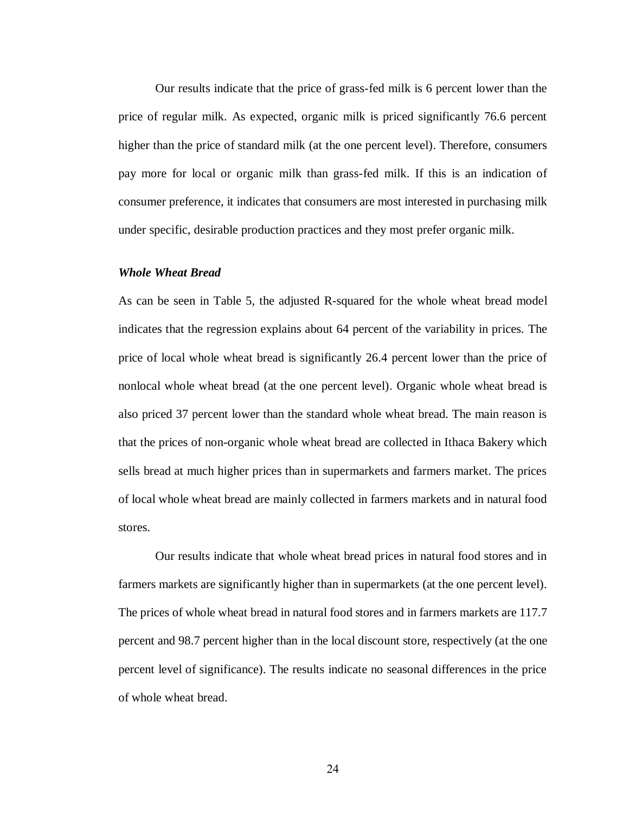Our results indicate that the price of grass-fed milk is 6 percent lower than the price of regular milk. As expected, organic milk is priced significantly 76.6 percent higher than the price of standard milk (at the one percent level). Therefore, consumers pay more for local or organic milk than grass-fed milk. If this is an indication of consumer preference, it indicates that consumers are most interested in purchasing milk under specific, desirable production practices and they most prefer organic milk.

#### *Whole Wheat Bread*

As can be seen in Table 5, the adjusted R-squared for the whole wheat bread model indicates that the regression explains about 64 percent of the variability in prices. The price of local whole wheat bread is significantly 26.4 percent lower than the price of nonlocal whole wheat bread (at the one percent level). Organic whole wheat bread is also priced 37 percent lower than the standard whole wheat bread. The main reason is that the prices of non-organic whole wheat bread are collected in Ithaca Bakery which sells bread at much higher prices than in supermarkets and farmers market. The prices of local whole wheat bread are mainly collected in farmers markets and in natural food stores.

Our results indicate that whole wheat bread prices in natural food stores and in farmers markets are significantly higher than in supermarkets (at the one percent level). The prices of whole wheat bread in natural food stores and in farmers markets are 117.7 percent and 98.7 percent higher than in the local discount store, respectively (at the one percent level of significance). The results indicate no seasonal differences in the price of whole wheat bread.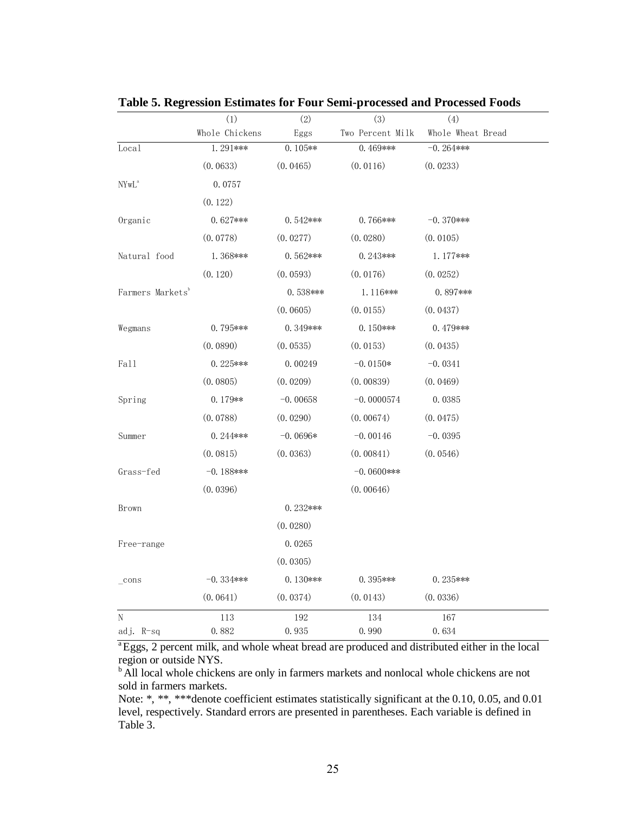|                                                                                       | (1)            | (2)        | (3)              | (4)               |  |
|---------------------------------------------------------------------------------------|----------------|------------|------------------|-------------------|--|
|                                                                                       | Whole Chickens | Eggs       | Two Percent Milk | Whole Wheat Bread |  |
| Local                                                                                 | 1.291***       | $0.105**$  | 0.469***         | $-0.264***$       |  |
|                                                                                       | (0.0633)       | (0.0465)   | (0.0116)         | (0.0233)          |  |
| $\ensuremath{\text{NYw}}\xspace \ensuremath{\text{L}}\xspace^{\ensuremath{\text{a}}}$ | 0.0757         |            |                  |                   |  |
|                                                                                       | (0.122)        |            |                  |                   |  |
| Organic                                                                               | $0.627***$     | $0.542***$ | $0.766***$       | $-0.370$ ***      |  |
|                                                                                       | (0.0778)       | (0.0277)   | (0.0280)         | (0.0105)          |  |
| Natural food                                                                          | 1.368***       | $0.562***$ | $0.243***$       | $1.177***$        |  |
|                                                                                       | (0.120)        | (0.0593)   | (0.0176)         | (0.0252)          |  |
| Farmers Markets <sup>b</sup>                                                          |                | $0.538***$ | 1.116***         | 0.897***          |  |
|                                                                                       |                | (0.0605)   | (0.0155)         | (0.0437)          |  |
| Wegmans                                                                               | $0.795***$     | $0.349***$ | $0.150***$       | $0.479***$        |  |
|                                                                                       | (0.0890)       | (0.0535)   | (0.0153)         | (0.0435)          |  |
| Fall                                                                                  | $0.225***$     | 0.00249    | $-0.0150*$       | $-0.0341$         |  |
|                                                                                       | (0.0805)       | (0.0209)   | (0.00839)        | (0.0469)          |  |
| Spring                                                                                | $0.179**$      | $-0.00658$ | $-0.0000574$     | 0.0385            |  |
|                                                                                       | (0.0788)       | (0.0290)   | (0.00674)        | (0.0475)          |  |
| Summer                                                                                | $0.244***$     | $-0.0696*$ | $-0.00146$       | $-0.0395$         |  |
|                                                                                       | (0.0815)       | (0.0363)   | (0.00841)        | (0.0546)          |  |
| Grass-fed                                                                             | $-0.188$ ***   |            | $-0.0600$ ***    |                   |  |
|                                                                                       | (0.0396)       |            | (0.00646)        |                   |  |
| Brown                                                                                 |                | $0.232***$ |                  |                   |  |
|                                                                                       |                | (0.0280)   |                  |                   |  |
| Free-range                                                                            |                | 0.0265     |                  |                   |  |
|                                                                                       |                | (0.0305)   |                  |                   |  |
| $_{\rm cons}$                                                                         | $-0.334***$    | $0.130***$ | $0.395***$       | $0.235***$        |  |
|                                                                                       | (0.0641)       | (0.0374)   | (0.0143)         | (0.0336)          |  |
| N                                                                                     | 113            | 192        | 134              | 167               |  |
| adj. R-sq                                                                             | 0.882          | 0.935      | 0.990            | 0.634             |  |

<span id="page-32-0"></span>**Table 5. Regression Estimates for Four Semi-processed and Processed Foods**

<sup>a</sup>Eggs, 2 percent milk, and whole wheat bread are produced and distributed either in the local region or outside NYS.

<sup>b</sup> All local whole chickens are only in farmers markets and nonlocal whole chickens are not sold in farmers markets.

Note: \*, \*\*, \*\*\*denote coefficient estimates statistically significant at the 0.10, 0.05, and 0.01 level, respectively. Standard errors are presented in parentheses. Each variable is defined in Table 3.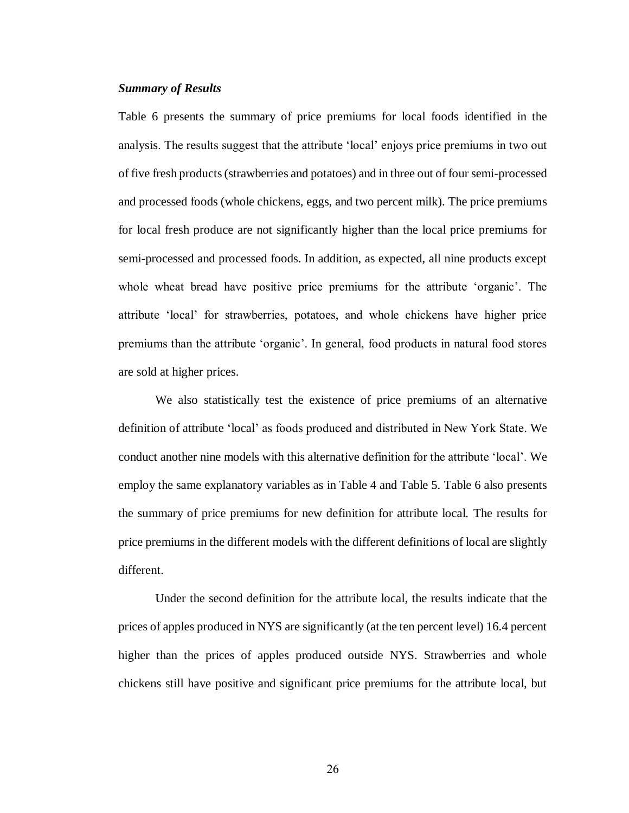#### *Summary of Results*

Table 6 presents the summary of price premiums for local foods identified in the analysis. The results suggest that the attribute 'local' enjoys price premiums in two out of five fresh products (strawberries and potatoes) and in three out of four semi-processed and processed foods (whole chickens, eggs, and two percent milk). The price premiums for local fresh produce are not significantly higher than the local price premiums for semi-processed and processed foods. In addition, as expected, all nine products except whole wheat bread have positive price premiums for the attribute 'organic'. The attribute 'local' for strawberries, potatoes, and whole chickens have higher price premiums than the attribute 'organic'. In general, food products in natural food stores are sold at higher prices.

We also statistically test the existence of price premiums of an alternative definition of attribute 'local' as foods produced and distributed in New York State. We conduct another nine models with this alternative definition for the attribute 'local'. We employ the same explanatory variables as in Table 4 and Table 5. Table 6 also presents the summary of price premiums for new definition for attribute local. The results for price premiums in the different models with the different definitions of local are slightly different.

Under the second definition for the attribute local, the results indicate that the prices of apples produced in NYS are significantly (at the ten percent level) 16.4 percent higher than the prices of apples produced outside NYS. Strawberries and whole chickens still have positive and significant price premiums for the attribute local, but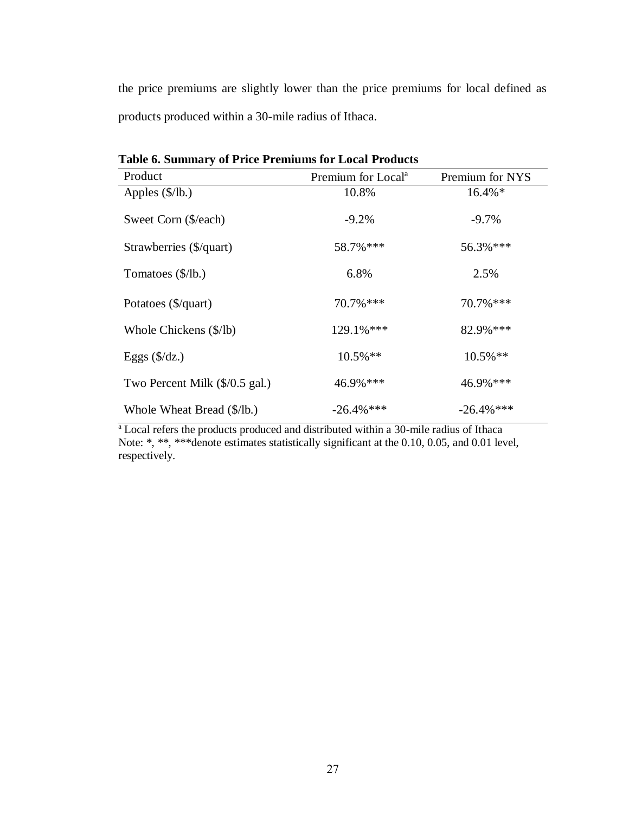the price premiums are slightly lower than the price premiums for local defined as products produced within a 30-mile radius of Ithaca.

| Product                        | Premium for Local <sup>a</sup> | Premium for NYS |
|--------------------------------|--------------------------------|-----------------|
| Apples $(\frac{5}{lb})$        | 10.8%                          | 16.4%*          |
| Sweet Corn (\$/each)           | $-9.2%$                        | $-9.7%$         |
| Strawberries (\$/quart)        | 58.7% ***                      | 56.3% ***       |
| Tomatoes (\$/lb.)              | 6.8%                           | 2.5%            |
| Potatoes (\$/quart)            | $70.7\%$ ***                   | $70.7\%$ ***    |
| Whole Chickens (\$/lb)         | 129.1%***                      | 82.9% ***       |
| Eggs $(\frac{6}{dz})$          | $10.5\%$ **                    | $10.5\%**$      |
| Two Percent Milk (\$/0.5 gal.) | 46.9% ***                      | 46.9% ***       |
| Whole Wheat Bread (\$/lb.)     | $-26.4\%$ ***                  | $-26.4\%$ ***   |

<span id="page-34-0"></span>**Table 6. Summary of Price Premiums for Local Products**

<sup>a</sup> Local refers the products produced and distributed within a 30-mile radius of Ithaca Note: \*, \*\*, \*\*\* denote estimates statistically significant at the 0.10, 0.05, and 0.01 level, respectively.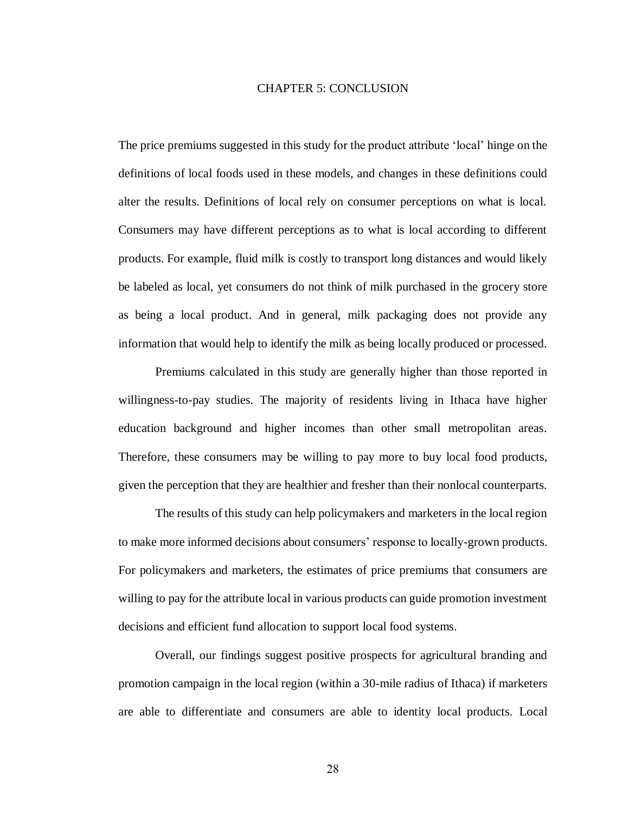#### CHAPTER 5: CONCLUSION

<span id="page-35-0"></span>The price premiums suggested in this study for the product attribute 'local' hinge on the definitions of local foods used in these models, and changes in these definitions could alter the results. Definitions of local rely on consumer perceptions on what is local. Consumers may have different perceptions as to what is local according to different products. For example, fluid milk is costly to transport long distances and would likely be labeled as local, yet consumers do not think of milk purchased in the grocery store as being a local product. And in general, milk packaging does not provide any information that would help to identify the milk as being locally produced or processed.

Premiums calculated in this study are generally higher than those reported in willingness-to-pay studies. The majority of residents living in Ithaca have higher education background and higher incomes than other small metropolitan areas. Therefore, these consumers may be willing to pay more to buy local food products, given the perception that they are healthier and fresher than their nonlocal counterparts.

The results of this study can help policymakers and marketers in the local region to make more informed decisions about consumers' response to locally-grown products. For policymakers and marketers, the estimates of price premiums that consumers are willing to pay for the attribute local in various products can guide promotion investment decisions and efficient fund allocation to support local food systems.

Overall, our findings suggest positive prospects for agricultural branding and promotion campaign in the local region (within a 30-mile radius of Ithaca) if marketers are able to differentiate and consumers are able to identity local products. Local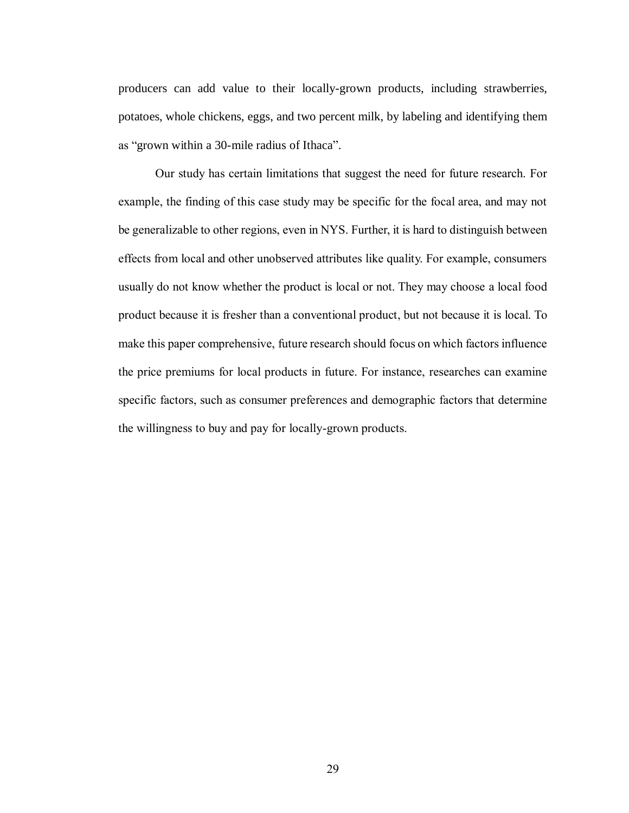producers can add value to their locally-grown products, including strawberries, potatoes, whole chickens, eggs, and two percent milk, by labeling and identifying them as "grown within a 30-mile radius of Ithaca".

<span id="page-36-0"></span>Our study has certain limitations that suggest the need for future research. For example, the finding of this case study may be specific for the focal area, and may not be generalizable to other regions, even in NYS. Further, it is hard to distinguish between effects from local and other unobserved attributes like quality. For example, consumers usually do not know whether the product is local or not. They may choose a local food product because it is fresher than a conventional product, but not because it is local. To make this paper comprehensive, future research should focus on which factors influence the price premiums for local products in future. For instance, researches can examine specific factors, such as consumer preferences and demographic factors that determine the willingness to buy and pay for locally-grown products.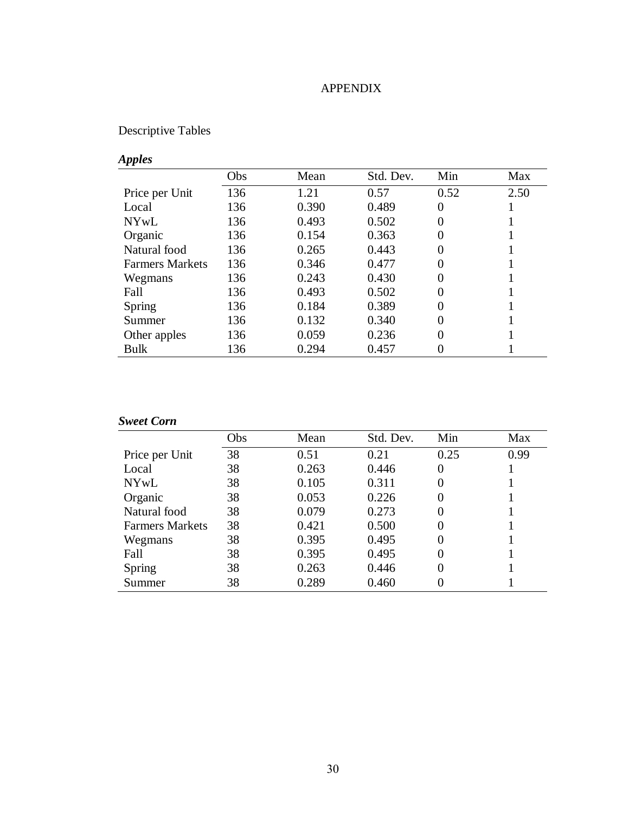## APPENDIX

# Descriptive Tables

# *Apples*

|                        | Obs | Mean  | Std. Dev. | Min  | Max  |
|------------------------|-----|-------|-----------|------|------|
| Price per Unit         | 136 | 1.21  | 0.57      | 0.52 | 2.50 |
| Local                  | 136 | 0.390 | 0.489     | 0    |      |
| <b>NYwL</b>            | 136 | 0.493 | 0.502     | 0    |      |
| Organic                | 136 | 0.154 | 0.363     | 0    |      |
| Natural food           | 136 | 0.265 | 0.443     | 0    |      |
| <b>Farmers Markets</b> | 136 | 0.346 | 0.477     | 0    |      |
| Wegmans                | 136 | 0.243 | 0.430     | 0    |      |
| Fall                   | 136 | 0.493 | 0.502     | 0    |      |
| <b>Spring</b>          | 136 | 0.184 | 0.389     | 0    |      |
| Summer                 | 136 | 0.132 | 0.340     | 0    |      |
| Other apples           | 136 | 0.059 | 0.236     | 0    |      |
| Bulk                   | 136 | 0.294 | 0.457     |      |      |

## *Sweet Corn*

|                        | Obs | Mean  | Std. Dev. | Min      | Max  |
|------------------------|-----|-------|-----------|----------|------|
| Price per Unit         | 38  | 0.51  | 0.21      | 0.25     | 0.99 |
| Local                  | 38  | 0.263 | 0.446     | 0        |      |
| NYwL                   | 38  | 0.105 | 0.311     | $\Omega$ |      |
| Organic                | 38  | 0.053 | 0.226     | $\Omega$ |      |
| Natural food           | 38  | 0.079 | 0.273     | 0        |      |
| <b>Farmers Markets</b> | 38  | 0.421 | 0.500     | $\theta$ |      |
| Wegmans                | 38  | 0.395 | 0.495     | $\Omega$ |      |
| Fall                   | 38  | 0.395 | 0.495     | $\Omega$ |      |
| Spring                 | 38  | 0.263 | 0.446     | $\Omega$ |      |
| Summer                 | 38  | 0.289 | 0.460     | 0        |      |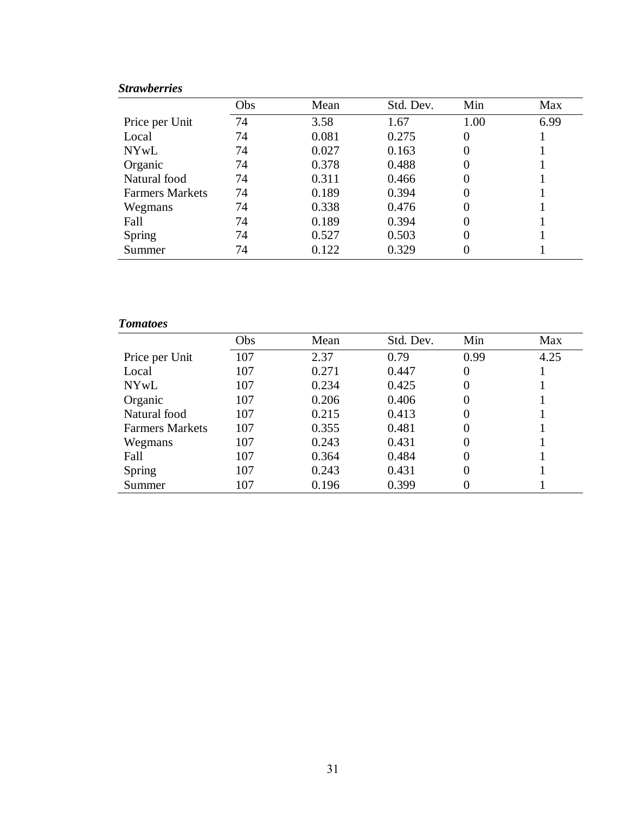# *Strawberries*

|                        | Obs | Mean  | Std. Dev. | Min      | Max  |
|------------------------|-----|-------|-----------|----------|------|
| Price per Unit         | 74  | 3.58  | 1.67      | 1.00     | 6.99 |
| Local                  | 74  | 0.081 | 0.275     | $\Omega$ |      |
| <b>NYwL</b>            | 74  | 0.027 | 0.163     | $\theta$ |      |
| Organic                | 74  | 0.378 | 0.488     | 0        |      |
| Natural food           | 74  | 0.311 | 0.466     |          |      |
| <b>Farmers Markets</b> | 74  | 0.189 | 0.394     | 0        |      |
| Wegmans                | 74  | 0.338 | 0.476     | $\Omega$ |      |
| Fall                   | 74  | 0.189 | 0.394     |          |      |
| Spring                 | 74  | 0.527 | 0.503     | $\Omega$ |      |
| Summer                 | 74  | 0.122 | 0.329     |          |      |

## *Tomatoes*

|                        | Obs | Mean  | Std. Dev. | Min      | Max  |
|------------------------|-----|-------|-----------|----------|------|
| Price per Unit         | 107 | 2.37  | 0.79      | 0.99     | 4.25 |
| Local                  | 107 | 0.271 | 0.447     | 0        |      |
| <b>NYwL</b>            | 107 | 0.234 | 0.425     | 0        |      |
| Organic                | 107 | 0.206 | 0.406     | $\Omega$ |      |
| Natural food           | 107 | 0.215 | 0.413     | 0        |      |
| <b>Farmers Markets</b> | 107 | 0.355 | 0.481     | 0        |      |
| Wegmans                | 107 | 0.243 | 0.431     | $\Omega$ |      |
| Fall                   | 107 | 0.364 | 0.484     | $\Omega$ |      |
| Spring                 | 107 | 0.243 | 0.431     | 0        |      |
| Summer                 | 107 | 0.196 | 0.399     |          |      |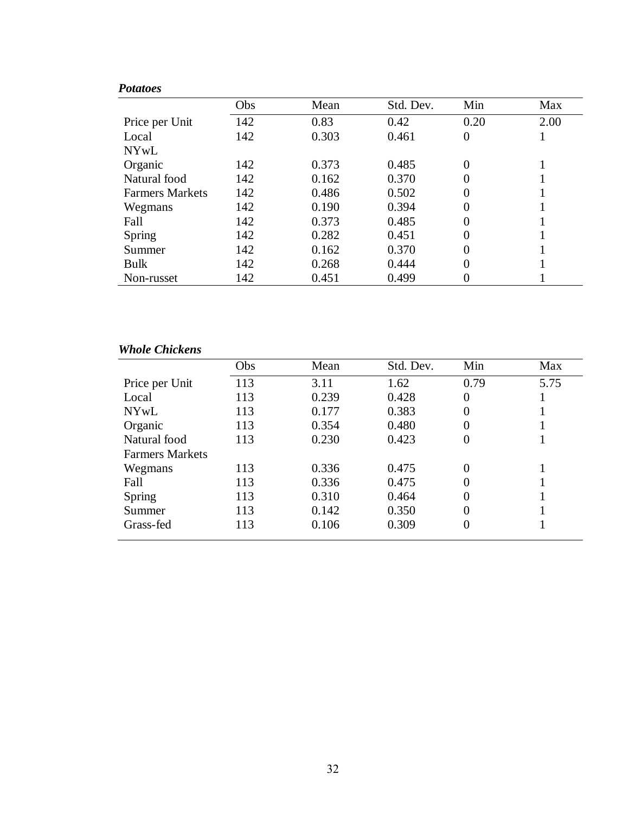| <b>Potatoes</b>        |     |       |           |                  |      |
|------------------------|-----|-------|-----------|------------------|------|
|                        | Obs | Mean  | Std. Dev. | Min              | Max  |
| Price per Unit         | 142 | 0.83  | 0.42      | 0.20             | 2.00 |
| Local                  | 142 | 0.303 | 0.461     | $\boldsymbol{0}$ |      |
| <b>NYwL</b>            |     |       |           |                  |      |
| Organic                | 142 | 0.373 | 0.485     | 0                |      |
| Natural food           | 142 | 0.162 | 0.370     | 0                |      |
| <b>Farmers Markets</b> | 142 | 0.486 | 0.502     | 0                |      |
| Wegmans                | 142 | 0.190 | 0.394     | 0                |      |
| Fall                   | 142 | 0.373 | 0.485     | $\overline{0}$   |      |
| Spring                 | 142 | 0.282 | 0.451     | 0                |      |
| Summer                 | 142 | 0.162 | 0.370     | 0                |      |
| <b>Bulk</b>            | 142 | 0.268 | 0.444     | 0                |      |
| Non-russet             | 142 | 0.451 | 0.499     |                  |      |

# *Whole Chickens*

|                        | Obs | Mean  | Std. Dev. | Min  | Max  |
|------------------------|-----|-------|-----------|------|------|
| Price per Unit         | 113 | 3.11  | 1.62      | 0.79 | 5.75 |
| Local                  | 113 | 0.239 | 0.428     | 0    |      |
| <b>NYwL</b>            | 113 | 0.177 | 0.383     | 0    |      |
| Organic                | 113 | 0.354 | 0.480     | 0    |      |
| Natural food           | 113 | 0.230 | 0.423     | 0    |      |
| <b>Farmers Markets</b> |     |       |           |      |      |
| Wegmans                | 113 | 0.336 | 0.475     | 0    |      |
| Fall                   | 113 | 0.336 | 0.475     | 0    |      |
| Spring                 | 113 | 0.310 | 0.464     | 0    |      |
| Summer                 | 113 | 0.142 | 0.350     | 0    |      |
| Grass-fed              | 113 | 0.106 | 0.309     | 0    |      |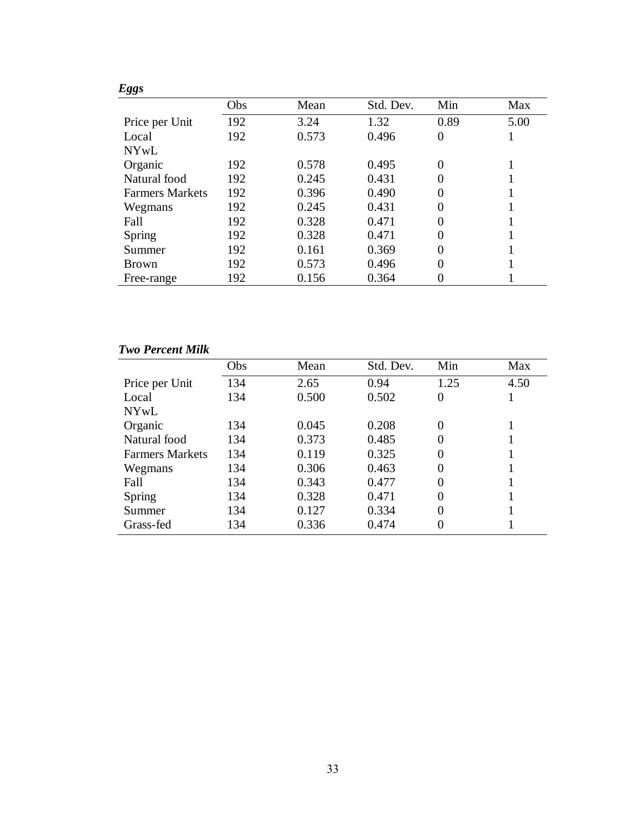| <b>Eggs</b>            |     |       |           |      |      |
|------------------------|-----|-------|-----------|------|------|
|                        | Obs | Mean  | Std. Dev. | Min  | Max  |
| Price per Unit         | 192 | 3.24  | 1.32      | 0.89 | 5.00 |
| Local                  | 192 | 0.573 | 0.496     | 0    |      |
| <b>NYwL</b>            |     |       |           |      |      |
| Organic                | 192 | 0.578 | 0.495     | 0    |      |
| Natural food           | 192 | 0.245 | 0.431     | 0    |      |
| <b>Farmers Markets</b> | 192 | 0.396 | 0.490     | 0    |      |
| Wegmans                | 192 | 0.245 | 0.431     | 0    |      |
| Fall                   | 192 | 0.328 | 0.471     | 0    |      |
| Spring                 | 192 | 0.328 | 0.471     | 0    |      |
| Summer                 | 192 | 0.161 | 0.369     | 0    |      |
| <b>Brown</b>           | 192 | 0.573 | 0.496     | 0    |      |
| Free-range             | 192 | 0.156 | 0.364     |      |      |

# *Two Percent Milk*

|                        | Obs | Mean  | Std. Dev. | Min      | Max  |
|------------------------|-----|-------|-----------|----------|------|
| Price per Unit         | 134 | 2.65  | 0.94      | 1.25     | 4.50 |
| Local                  | 134 | 0.500 | 0.502     | 0        |      |
| <b>NYwL</b>            |     |       |           |          |      |
| Organic                | 134 | 0.045 | 0.208     | $\theta$ |      |
| Natural food           | 134 | 0.373 | 0.485     | $\Omega$ |      |
| <b>Farmers Markets</b> | 134 | 0.119 | 0.325     | $\Omega$ |      |
| Wegmans                | 134 | 0.306 | 0.463     | $\Omega$ |      |
| Fall                   | 134 | 0.343 | 0.477     | 0        |      |
| Spring                 | 134 | 0.328 | 0.471     | $\Omega$ |      |
| Summer                 | 134 | 0.127 | 0.334     | 0        |      |
| Grass-fed              | 134 | 0.336 | 0.474     | $\Omega$ |      |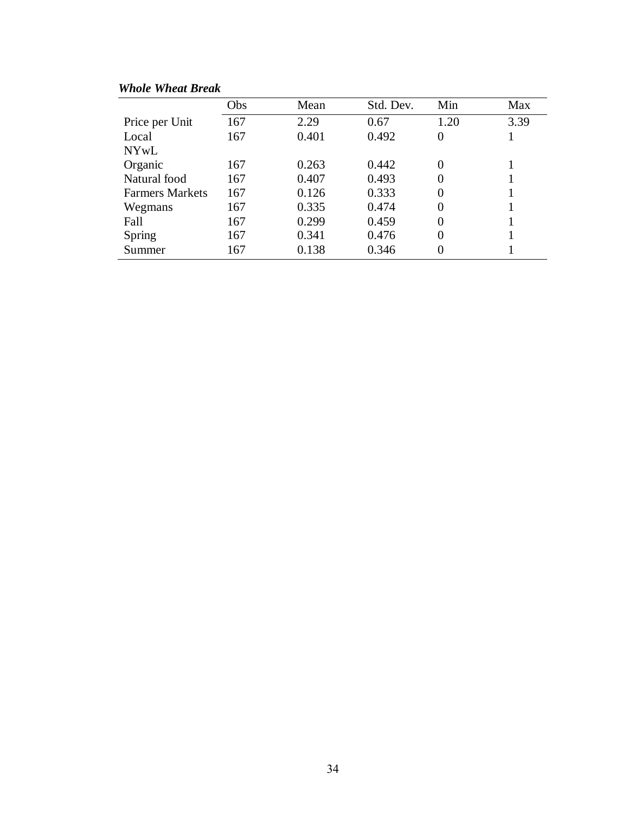| <b>Whole Wheat Break</b> |
|--------------------------|
|--------------------------|

|                        | Obs | Mean  | Std. Dev. | Min  | Max  |
|------------------------|-----|-------|-----------|------|------|
| Price per Unit         | 167 | 2.29  | 0.67      | 1.20 | 3.39 |
| Local                  | 167 | 0.401 | 0.492     | 0    |      |
| NYwL                   |     |       |           |      |      |
| Organic                | 167 | 0.263 | 0.442     | 0    |      |
| Natural food           | 167 | 0.407 | 0.493     | 0    |      |
| <b>Farmers Markets</b> | 167 | 0.126 | 0.333     | 0    |      |
| Wegmans                | 167 | 0.335 | 0.474     | 0    |      |
| Fall                   | 167 | 0.299 | 0.459     | 0    |      |
| Spring                 | 167 | 0.341 | 0.476     | 0    |      |
| Summer                 | 167 | 0.138 | 0.346     | 0    |      |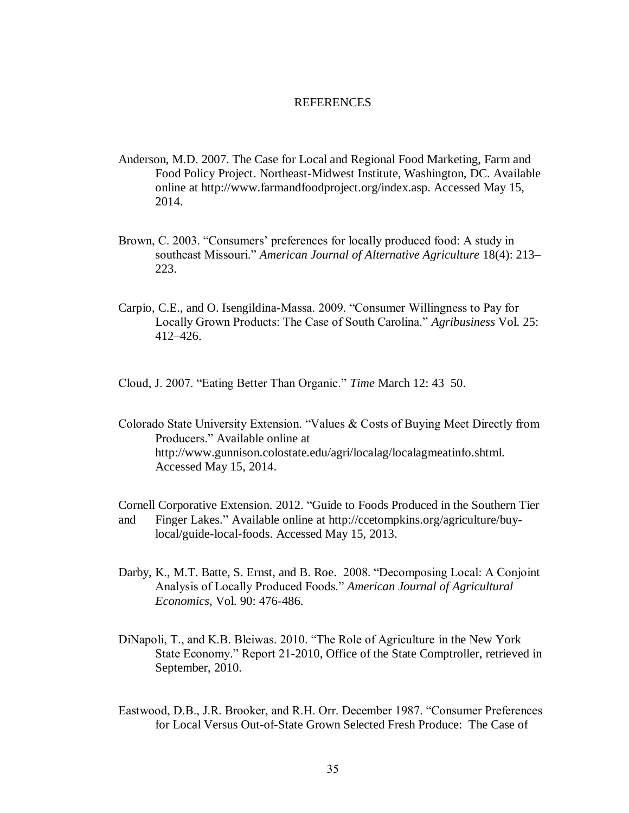#### **REFERENCES**

- <span id="page-42-0"></span>Anderson, M.D. 2007. The Case for Local and Regional Food Marketing, Farm and Food Policy Project. Northeast-Midwest Institute, Washington, DC. Available online at http://www.farmandfoodproject.org/index.asp. Accessed May 15, 2014.
- Brown, C. 2003. "Consumers' preferences for locally produced food: A study in southeast Missouri." *American Journal of Alternative Agriculture* 18(4): 213– 223.
- Carpio, C.E., and O. Isengildina-Massa. 2009. "Consumer Willingness to Pay for Locally Grown Products: The Case of South Carolina." *Agribusiness* Vol. 25: 412–426.

Cloud, J. 2007. "Eating Better Than Organic." *Time* March 12: 43–50.

Colorado State University Extension. "Values & Costs of Buying Meet Directly from Producers." Available online at http://www.gunnison.colostate.edu/agri/localag/localagmeatinfo.shtml. Accessed May 15, 2014.

Cornell Corporative Extension. 2012. "Guide to Foods Produced in the Southern Tier and Finger Lakes." Available online at [http://ccetompkins.org/agriculture/buy](http://ccetompkins.org/agriculture/buy-%09local/guide-local-foods)[local/guide-local-foods.](http://ccetompkins.org/agriculture/buy-%09local/guide-local-foods) Accessed May 15, 2013.

- Darby, K., M.T. Batte, S. Ernst, and B. Roe. 2008. "Decomposing Local: A Conjoint Analysis of Locally Produced Foods." *American Journal of Agricultural Economics*, Vol. 90: 476-486.
- DiNapoli, T., and K.B. Bleiwas. 2010. "The Role of Agriculture in the New York State Economy." Report 21-2010, Office of the State Comptroller, retrieved in September, 2010.
- Eastwood, D.B., J.R. Brooker, and R.H. Orr. December 1987. "Consumer Preferences for Local Versus Out-of-State Grown Selected Fresh Produce: The Case of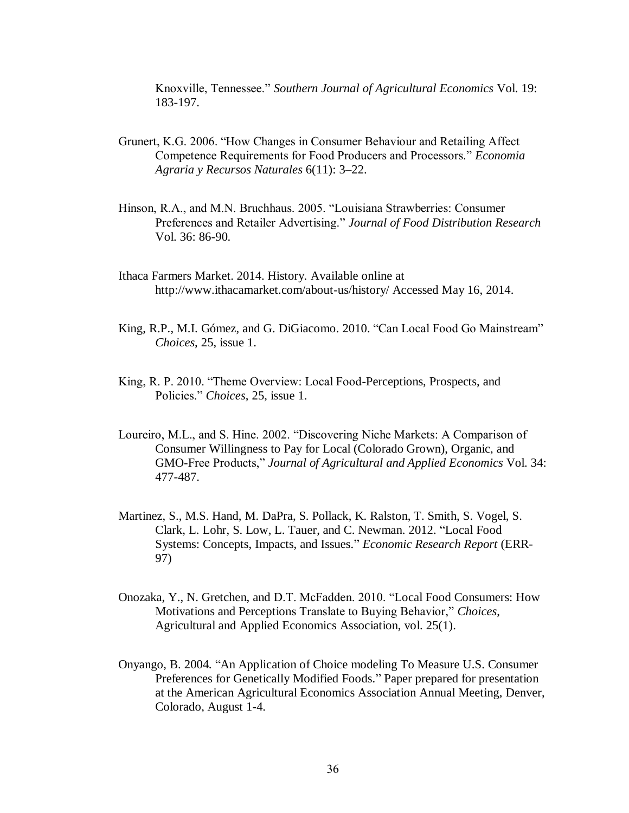Knoxville, Tennessee." *Southern Journal of Agricultural Economics* Vol. 19: 183-197.

- Grunert, K.G. 2006. "How Changes in Consumer Behaviour and Retailing Affect Competence Requirements for Food Producers and Processors." *Economia Agraria y Recursos Naturales* 6(11): 3–22.
- Hinson, R.A., and M.N. Bruchhaus. 2005. "Louisiana Strawberries: Consumer Preferences and Retailer Advertising." *Journal of Food Distribution Research* Vol. 36: 86-90.
- Ithaca Farmers Market. 2014. History. Available online at http://www.ithacamarket.com/about-us/history/ Accessed May 16, 2014.
- King, R.P., M.I. Gómez, and G. DiGiacomo. 2010. "Can Local Food Go Mainstream" *Choices*, 25, issue 1.
- King, R. P. 2010. "Theme Overview: Local Food-Perceptions, Prospects, and Policies." *Choices*, 25, issue 1.
- Loureiro, M.L., and S. Hine. 2002. "Discovering Niche Markets: A Comparison of Consumer Willingness to Pay for Local (Colorado Grown), Organic, and GMO-Free Products," *Journal of Agricultural and Applied Economics* Vol. 34: 477-487.
- Martinez, S., M.S. Hand, M. DaPra, S. Pollack, K. Ralston, T. Smith, S. Vogel, S. Clark, L. Lohr, S. Low, L. Tauer, and C. Newman. 2012. "Local Food Systems: Concepts, Impacts, and Issues." *Economic Research Report* (ERR-97)
- Onozaka, Y., N. Gretchen, and D.T. McFadden. 2010. "Local Food Consumers: How Motivations and Perceptions Translate to Buying Behavior," *Choices*, Agricultural and Applied Economics Association, vol. 25(1).
- Onyango, B. 2004. "An Application of Choice modeling To Measure U.S. Consumer Preferences for Genetically Modified Foods." Paper prepared for presentation at the American Agricultural Economics Association Annual Meeting, Denver, Colorado, August 1-4.